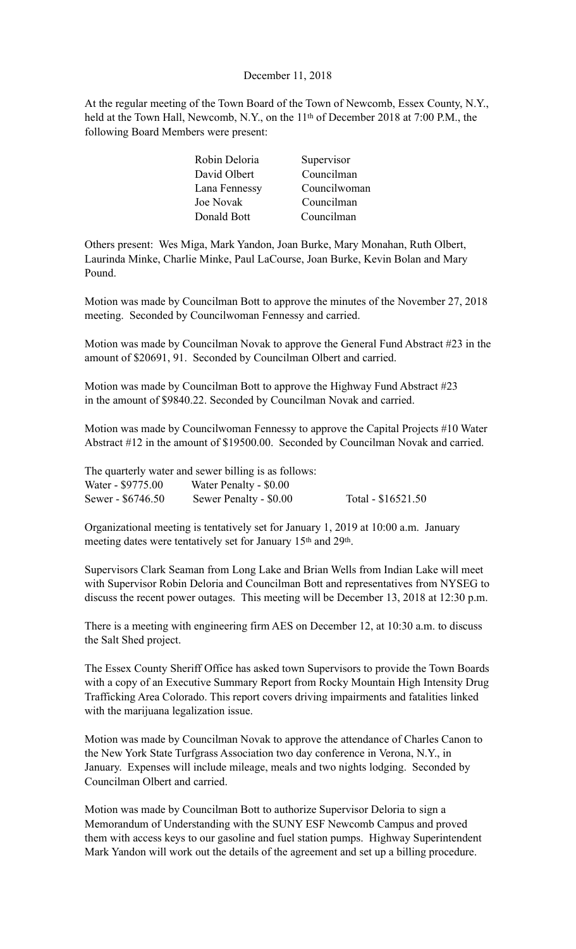#### December 11, 2018

At the regular meeting of the Town Board of the Town of Newcomb, Essex County, N.Y., held at the Town Hall, Newcomb, N.Y., on the 11<sup>th</sup> of December 2018 at 7:00 P.M., the following Board Members were present:

| Robin Deloria | Supervisor   |
|---------------|--------------|
| David Olbert  | Councilman   |
| Lana Fennessy | Councilwoman |
| Joe Novak     | Councilman   |
| Donald Bott   | Councilman   |

Others present: Wes Miga, Mark Yandon, Joan Burke, Mary Monahan, Ruth Olbert, Laurinda Minke, Charlie Minke, Paul LaCourse, Joan Burke, Kevin Bolan and Mary Pound.

Motion was made by Councilman Bott to approve the minutes of the November 27, 2018 meeting. Seconded by Councilwoman Fennessy and carried.

Motion was made by Councilman Novak to approve the General Fund Abstract #23 in the amount of \$20691, 91. Seconded by Councilman Olbert and carried.

Motion was made by Councilman Bott to approve the Highway Fund Abstract #23 in the amount of \$9840.22. Seconded by Councilman Novak and carried.

Motion was made by Councilwoman Fennessy to approve the Capital Projects #10 Water Abstract #12 in the amount of \$19500.00. Seconded by Councilman Novak and carried.

|                   | The quarterly water and sewer billing is as follows: |                    |
|-------------------|------------------------------------------------------|--------------------|
| Water - \$9775.00 | Water Penalty - \$0.00                               |                    |
| Sewer - \$6746.50 | Sewer Penalty - \$0.00                               | Total - \$16521.50 |

Organizational meeting is tentatively set for January 1, 2019 at 10:00 a.m. January meeting dates were tentatively set for January 15th and 29th.

Supervisors Clark Seaman from Long Lake and Brian Wells from Indian Lake will meet with Supervisor Robin Deloria and Councilman Bott and representatives from NYSEG to discuss the recent power outages. This meeting will be December 13, 2018 at 12:30 p.m.

There is a meeting with engineering firm AES on December 12, at 10:30 a.m. to discuss the Salt Shed project.

The Essex County Sheriff Office has asked town Supervisors to provide the Town Boards with a copy of an Executive Summary Report from Rocky Mountain High Intensity Drug Trafficking Area Colorado. This report covers driving impairments and fatalities linked with the marijuana legalization issue.

Motion was made by Councilman Novak to approve the attendance of Charles Canon to the New York State Turfgrass Association two day conference in Verona, N.Y., in January. Expenses will include mileage, meals and two nights lodging. Seconded by Councilman Olbert and carried.

Motion was made by Councilman Bott to authorize Supervisor Deloria to sign a Memorandum of Understanding with the SUNY ESF Newcomb Campus and proved them with access keys to our gasoline and fuel station pumps. Highway Superintendent Mark Yandon will work out the details of the agreement and set up a billing procedure.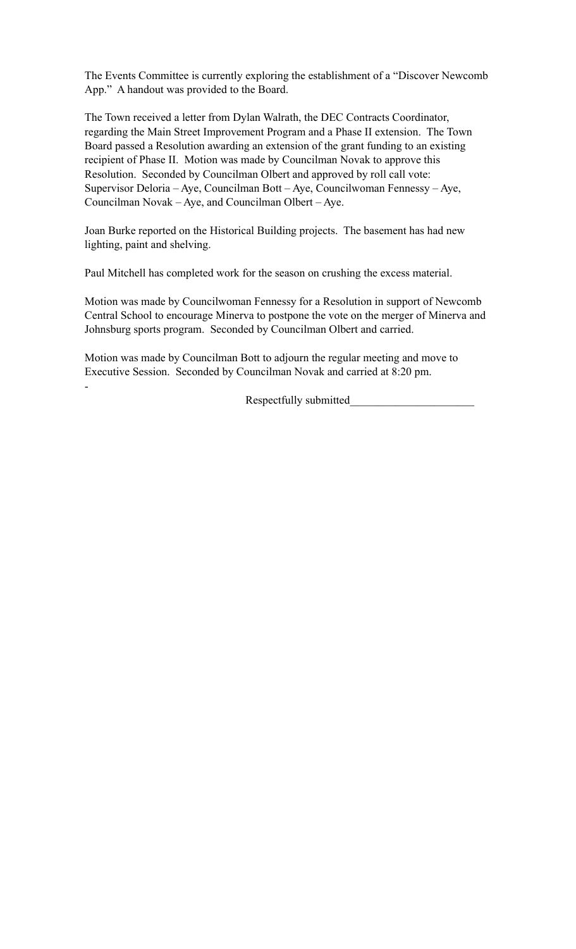The Events Committee is currently exploring the establishment of a "Discover Newcomb App." A handout was provided to the Board.

The Town received a letter from Dylan Walrath, the DEC Contracts Coordinator, regarding the Main Street Improvement Program and a Phase II extension. The Town Board passed a Resolution awarding an extension of the grant funding to an existing recipient of Phase II. Motion was made by Councilman Novak to approve this Resolution. Seconded by Councilman Olbert and approved by roll call vote: Supervisor Deloria – Aye, Councilman Bott – Aye, Councilwoman Fennessy – Aye, Councilman Novak – Aye, and Councilman Olbert – Aye.

Joan Burke reported on the Historical Building projects. The basement has had new lighting, paint and shelving.

Paul Mitchell has completed work for the season on crushing the excess material.

Motion was made by Councilwoman Fennessy for a Resolution in support of Newcomb Central School to encourage Minerva to postpone the vote on the merger of Minerva and Johnsburg sports program. Seconded by Councilman Olbert and carried.

Motion was made by Councilman Bott to adjourn the regular meeting and move to Executive Session. Seconded by Councilman Novak and carried at 8:20 pm.

-

Respectfully submitted\_\_\_\_\_\_\_\_\_\_\_\_\_\_\_\_\_\_\_\_\_\_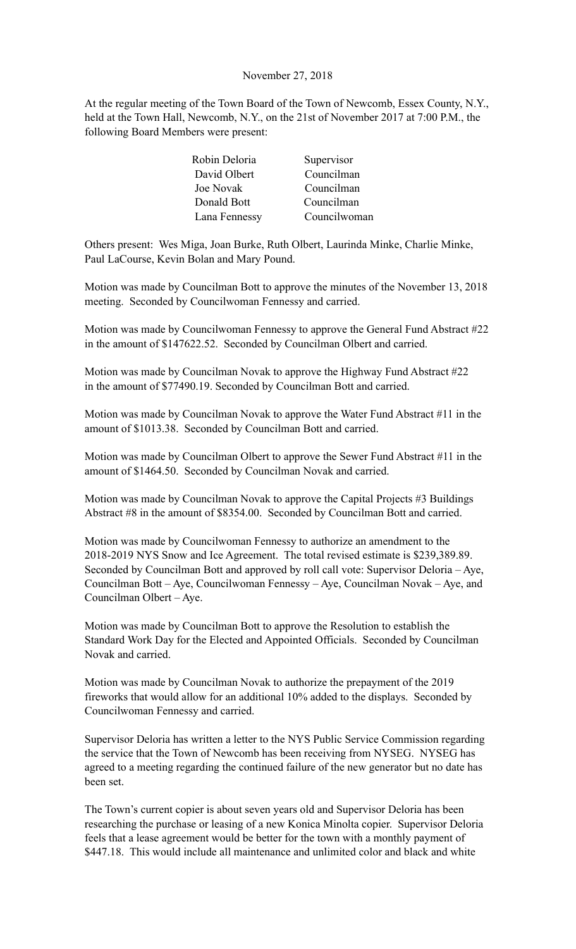#### November 27, 2018

At the regular meeting of the Town Board of the Town of Newcomb, Essex County, N.Y., held at the Town Hall, Newcomb, N.Y., on the 21st of November 2017 at 7:00 P.M., the following Board Members were present:

| Robin Deloria | Supervisor   |
|---------------|--------------|
| David Olbert  | Councilman   |
| Joe Novak     | Councilman   |
| Donald Bott   | Councilman   |
| Lana Fennessy | Councilwoman |

Others present: Wes Miga, Joan Burke, Ruth Olbert, Laurinda Minke, Charlie Minke, Paul LaCourse, Kevin Bolan and Mary Pound.

Motion was made by Councilman Bott to approve the minutes of the November 13, 2018 meeting. Seconded by Councilwoman Fennessy and carried.

Motion was made by Councilwoman Fennessy to approve the General Fund Abstract #22 in the amount of \$147622.52. Seconded by Councilman Olbert and carried.

Motion was made by Councilman Novak to approve the Highway Fund Abstract #22 in the amount of \$77490.19. Seconded by Councilman Bott and carried.

Motion was made by Councilman Novak to approve the Water Fund Abstract #11 in the amount of \$1013.38. Seconded by Councilman Bott and carried.

Motion was made by Councilman Olbert to approve the Sewer Fund Abstract #11 in the amount of \$1464.50. Seconded by Councilman Novak and carried.

Motion was made by Councilman Novak to approve the Capital Projects #3 Buildings Abstract #8 in the amount of \$8354.00. Seconded by Councilman Bott and carried.

Motion was made by Councilwoman Fennessy to authorize an amendment to the 2018-2019 NYS Snow and Ice Agreement. The total revised estimate is \$239,389.89. Seconded by Councilman Bott and approved by roll call vote: Supervisor Deloria – Aye, Councilman Bott – Aye, Councilwoman Fennessy – Aye, Councilman Novak – Aye, and Councilman Olbert – Aye.

Motion was made by Councilman Bott to approve the Resolution to establish the Standard Work Day for the Elected and Appointed Officials. Seconded by Councilman Novak and carried.

Motion was made by Councilman Novak to authorize the prepayment of the 2019 fireworks that would allow for an additional 10% added to the displays. Seconded by Councilwoman Fennessy and carried.

Supervisor Deloria has written a letter to the NYS Public Service Commission regarding the service that the Town of Newcomb has been receiving from NYSEG. NYSEG has agreed to a meeting regarding the continued failure of the new generator but no date has been set.

The Town's current copier is about seven years old and Supervisor Deloria has been researching the purchase or leasing of a new Konica Minolta copier. Supervisor Deloria feels that a lease agreement would be better for the town with a monthly payment of \$447.18. This would include all maintenance and unlimited color and black and white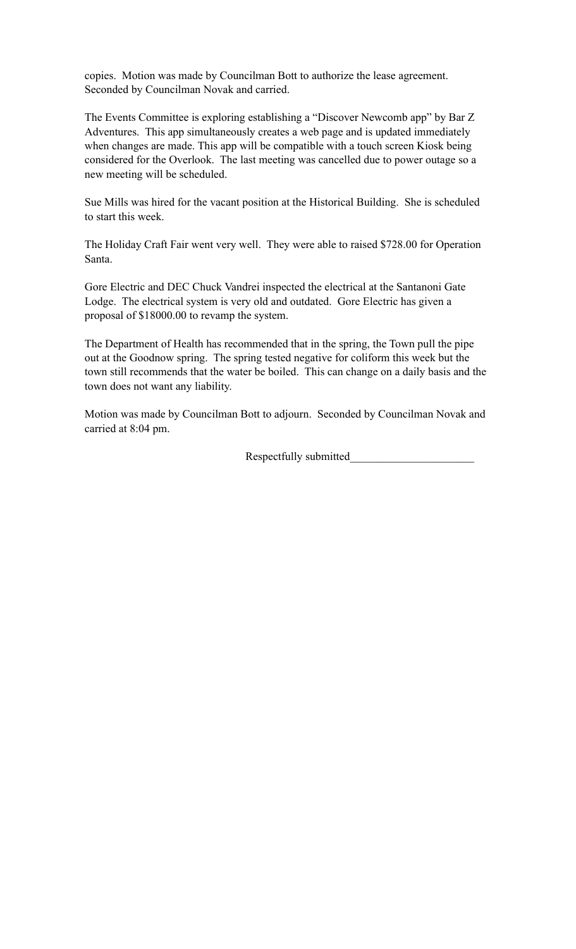copies. Motion was made by Councilman Bott to authorize the lease agreement. Seconded by Councilman Novak and carried.

The Events Committee is exploring establishing a "Discover Newcomb app" by Bar Z Adventures. This app simultaneously creates a web page and is updated immediately when changes are made. This app will be compatible with a touch screen Kiosk being considered for the Overlook. The last meeting was cancelled due to power outage so a new meeting will be scheduled.

Sue Mills was hired for the vacant position at the Historical Building. She is scheduled to start this week.

The Holiday Craft Fair went very well. They were able to raised \$728.00 for Operation Santa.

Gore Electric and DEC Chuck Vandrei inspected the electrical at the Santanoni Gate Lodge. The electrical system is very old and outdated. Gore Electric has given a proposal of \$18000.00 to revamp the system.

The Department of Health has recommended that in the spring, the Town pull the pipe out at the Goodnow spring. The spring tested negative for coliform this week but the town still recommends that the water be boiled. This can change on a daily basis and the town does not want any liability.

Motion was made by Councilman Bott to adjourn. Seconded by Councilman Novak and carried at 8:04 pm.

Respectfully submitted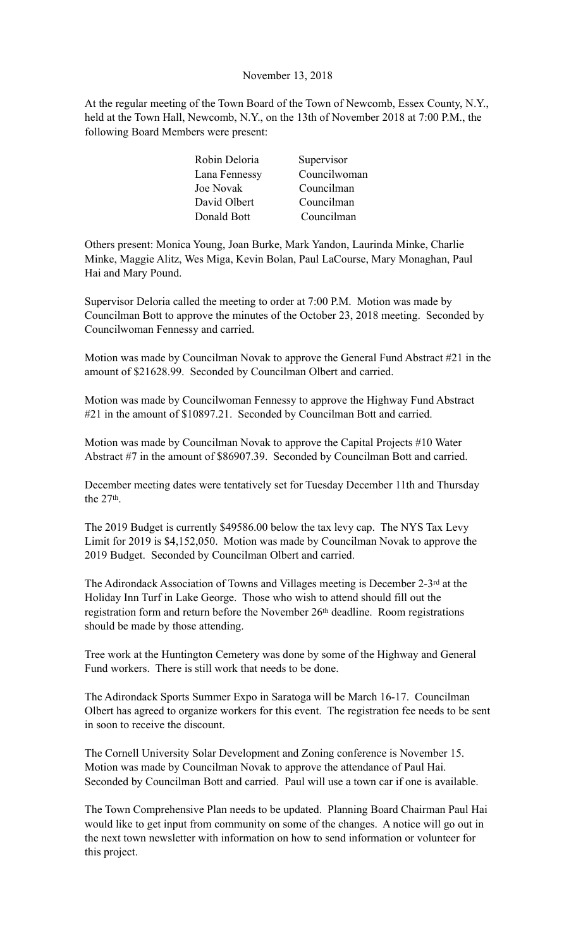#### November 13, 2018

At the regular meeting of the Town Board of the Town of Newcomb, Essex County, N.Y., held at the Town Hall, Newcomb, N.Y., on the 13th of November 2018 at 7:00 P.M., the following Board Members were present:

| Robin Deloria | Supervisor   |
|---------------|--------------|
| Lana Fennessy | Councilwoman |
| Joe Novak     | Councilman   |
| David Olbert  | Councilman   |
| Donald Bott   | Councilman   |

Others present: Monica Young, Joan Burke, Mark Yandon, Laurinda Minke, Charlie Minke, Maggie Alitz, Wes Miga, Kevin Bolan, Paul LaCourse, Mary Monaghan, Paul Hai and Mary Pound.

Supervisor Deloria called the meeting to order at 7:00 P.M. Motion was made by Councilman Bott to approve the minutes of the October 23, 2018 meeting. Seconded by Councilwoman Fennessy and carried.

Motion was made by Councilman Novak to approve the General Fund Abstract #21 in the amount of \$21628.99. Seconded by Councilman Olbert and carried.

Motion was made by Councilwoman Fennessy to approve the Highway Fund Abstract #21 in the amount of \$10897.21. Seconded by Councilman Bott and carried.

Motion was made by Councilman Novak to approve the Capital Projects #10 Water Abstract #7 in the amount of \$86907.39. Seconded by Councilman Bott and carried.

December meeting dates were tentatively set for Tuesday December 11th and Thursday the 27<sup>th</sup>.

The 2019 Budget is currently \$49586.00 below the tax levy cap. The NYS Tax Levy Limit for 2019 is \$4,152,050. Motion was made by Councilman Novak to approve the 2019 Budget. Seconded by Councilman Olbert and carried.

The Adirondack Association of Towns and Villages meeting is December 2-3rd at the Holiday Inn Turf in Lake George. Those who wish to attend should fill out the registration form and return before the November 26th deadline. Room registrations should be made by those attending.

Tree work at the Huntington Cemetery was done by some of the Highway and General Fund workers. There is still work that needs to be done.

The Adirondack Sports Summer Expo in Saratoga will be March 16-17. Councilman Olbert has agreed to organize workers for this event. The registration fee needs to be sent in soon to receive the discount.

The Cornell University Solar Development and Zoning conference is November 15. Motion was made by Councilman Novak to approve the attendance of Paul Hai. Seconded by Councilman Bott and carried. Paul will use a town car if one is available.

The Town Comprehensive Plan needs to be updated. Planning Board Chairman Paul Hai would like to get input from community on some of the changes. A notice will go out in the next town newsletter with information on how to send information or volunteer for this project.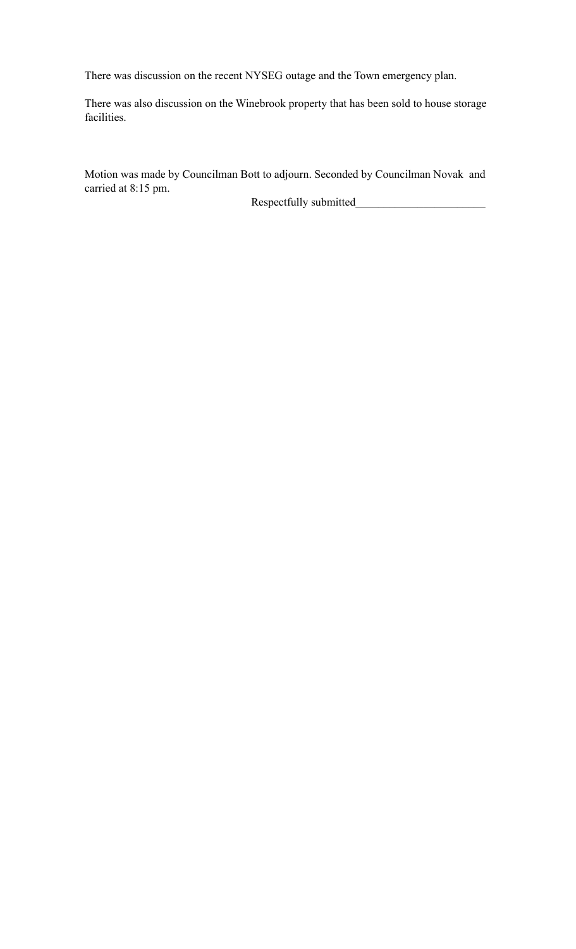There was discussion on the recent NYSEG outage and the Town emergency plan.

There was also discussion on the Winebrook property that has been sold to house storage facilities.

Motion was made by Councilman Bott to adjourn. Seconded by Councilman Novak and carried at 8:15 pm.

Respectfully submitted\_\_\_\_\_\_\_\_\_\_\_\_\_\_\_\_\_\_\_\_\_\_\_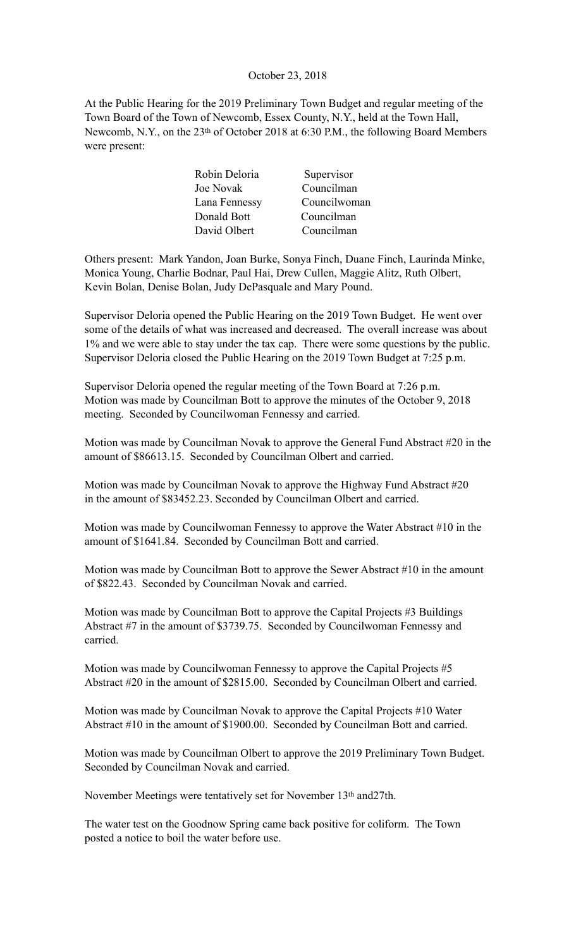#### October 23, 2018

At the Public Hearing for the 2019 Preliminary Town Budget and regular meeting of the Town Board of the Town of Newcomb, Essex County, N.Y., held at the Town Hall, Newcomb, N.Y., on the 23<sup>th</sup> of October 2018 at 6:30 P.M., the following Board Members were present:

| Supervisor                                                                 |
|----------------------------------------------------------------------------|
| Councilman                                                                 |
| Councilwoman                                                               |
| Councilman                                                                 |
| Councilman                                                                 |
| Robin Deloria<br>Joe Novak<br>Lana Fennessy<br>Donald Bott<br>David Olbert |

Others present: Mark Yandon, Joan Burke, Sonya Finch, Duane Finch, Laurinda Minke, Monica Young, Charlie Bodnar, Paul Hai, Drew Cullen, Maggie Alitz, Ruth Olbert, Kevin Bolan, Denise Bolan, Judy DePasquale and Mary Pound.

Supervisor Deloria opened the Public Hearing on the 2019 Town Budget. He went over some of the details of what was increased and decreased. The overall increase was about 1% and we were able to stay under the tax cap. There were some questions by the public. Supervisor Deloria closed the Public Hearing on the 2019 Town Budget at 7:25 p.m.

Supervisor Deloria opened the regular meeting of the Town Board at 7:26 p.m. Motion was made by Councilman Bott to approve the minutes of the October 9, 2018 meeting. Seconded by Councilwoman Fennessy and carried.

Motion was made by Councilman Novak to approve the General Fund Abstract #20 in the amount of \$86613.15. Seconded by Councilman Olbert and carried.

Motion was made by Councilman Novak to approve the Highway Fund Abstract #20 in the amount of \$83452.23. Seconded by Councilman Olbert and carried.

Motion was made by Councilwoman Fennessy to approve the Water Abstract #10 in the amount of \$1641.84. Seconded by Councilman Bott and carried.

Motion was made by Councilman Bott to approve the Sewer Abstract #10 in the amount of \$822.43. Seconded by Councilman Novak and carried.

Motion was made by Councilman Bott to approve the Capital Projects #3 Buildings Abstract #7 in the amount of \$3739.75. Seconded by Councilwoman Fennessy and carried.

Motion was made by Councilwoman Fennessy to approve the Capital Projects #5 Abstract #20 in the amount of \$2815.00. Seconded by Councilman Olbert and carried.

Motion was made by Councilman Novak to approve the Capital Projects #10 Water Abstract #10 in the amount of \$1900.00. Seconded by Councilman Bott and carried.

Motion was made by Councilman Olbert to approve the 2019 Preliminary Town Budget. Seconded by Councilman Novak and carried.

November Meetings were tentatively set for November 13th and27th.

The water test on the Goodnow Spring came back positive for coliform. The Town posted a notice to boil the water before use.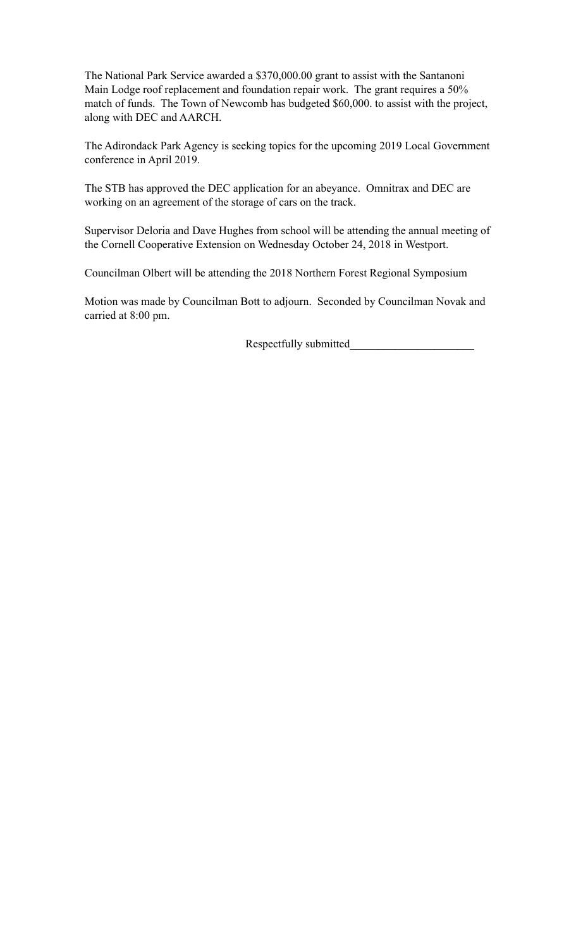The National Park Service awarded a \$370,000.00 grant to assist with the Santanoni Main Lodge roof replacement and foundation repair work. The grant requires a 50% match of funds. The Town of Newcomb has budgeted \$60,000. to assist with the project, along with DEC and AARCH.

The Adirondack Park Agency is seeking topics for the upcoming 2019 Local Government conference in April 2019.

The STB has approved the DEC application for an abeyance. Omnitrax and DEC are working on an agreement of the storage of cars on the track.

Supervisor Deloria and Dave Hughes from school will be attending the annual meeting of the Cornell Cooperative Extension on Wednesday October 24, 2018 in Westport.

Councilman Olbert will be attending the 2018 Northern Forest Regional Symposium

Motion was made by Councilman Bott to adjourn. Seconded by Councilman Novak and carried at 8:00 pm.

Respectfully submitted\_\_\_\_\_\_\_\_\_\_\_\_\_\_\_\_\_\_\_\_\_\_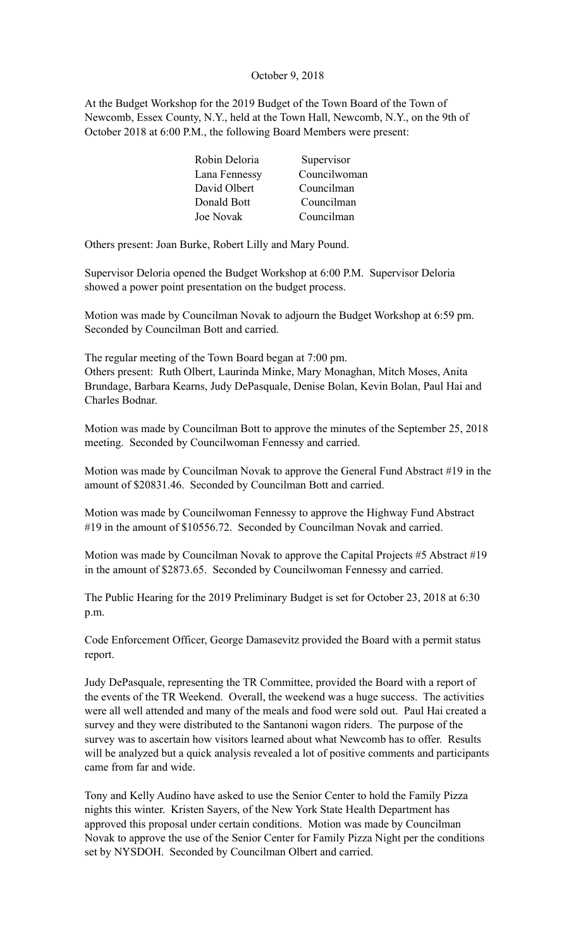### October 9, 2018

At the Budget Workshop for the 2019 Budget of the Town Board of the Town of Newcomb, Essex County, N.Y., held at the Town Hall, Newcomb, N.Y., on the 9th of October 2018 at 6:00 P.M., the following Board Members were present:

| Robin Deloria | Supervisor   |
|---------------|--------------|
| Lana Fennessy | Councilwoman |
| David Olbert  | Councilman   |
| Donald Bott   | Councilman   |
| Joe Novak     | Councilman   |

Others present: Joan Burke, Robert Lilly and Mary Pound.

Supervisor Deloria opened the Budget Workshop at 6:00 P.M. Supervisor Deloria showed a power point presentation on the budget process.

Motion was made by Councilman Novak to adjourn the Budget Workshop at 6:59 pm. Seconded by Councilman Bott and carried.

The regular meeting of the Town Board began at 7:00 pm. Others present: Ruth Olbert, Laurinda Minke, Mary Monaghan, Mitch Moses, Anita Brundage, Barbara Kearns, Judy DePasquale, Denise Bolan, Kevin Bolan, Paul Hai and Charles Bodnar.

Motion was made by Councilman Bott to approve the minutes of the September 25, 2018 meeting. Seconded by Councilwoman Fennessy and carried.

Motion was made by Councilman Novak to approve the General Fund Abstract #19 in the amount of \$20831.46. Seconded by Councilman Bott and carried.

Motion was made by Councilwoman Fennessy to approve the Highway Fund Abstract #19 in the amount of \$10556.72. Seconded by Councilman Novak and carried.

Motion was made by Councilman Novak to approve the Capital Projects #5 Abstract #19 in the amount of \$2873.65. Seconded by Councilwoman Fennessy and carried.

The Public Hearing for the 2019 Preliminary Budget is set for October 23, 2018 at 6:30 p.m.

Code Enforcement Officer, George Damasevitz provided the Board with a permit status report.

Judy DePasquale, representing the TR Committee, provided the Board with a report of the events of the TR Weekend. Overall, the weekend was a huge success. The activities were all well attended and many of the meals and food were sold out. Paul Hai created a survey and they were distributed to the Santanoni wagon riders. The purpose of the survey was to ascertain how visitors learned about what Newcomb has to offer. Results will be analyzed but a quick analysis revealed a lot of positive comments and participants came from far and wide.

Tony and Kelly Audino have asked to use the Senior Center to hold the Family Pizza nights this winter. Kristen Sayers, of the New York State Health Department has approved this proposal under certain conditions. Motion was made by Councilman Novak to approve the use of the Senior Center for Family Pizza Night per the conditions set by NYSDOH. Seconded by Councilman Olbert and carried.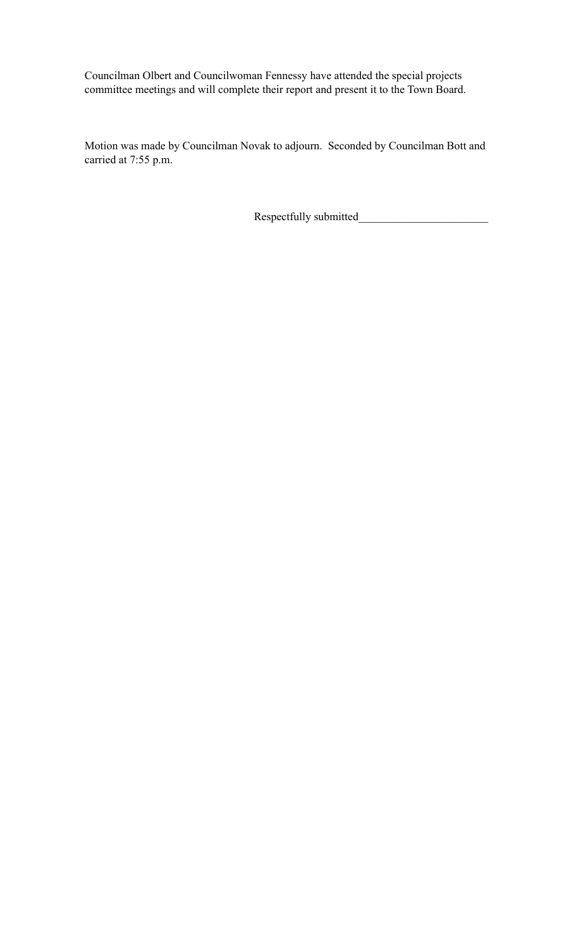Councilman Olbert and Councilwoman Fennessy have attended the special projects committee meetings and will complete their report and present it to the Town Board.

Motion was made by Councilman Novak to adjourn. Seconded by Councilman Bott and carried at 7:55 p.m.

Respectfully submitted\_\_\_\_\_\_\_\_\_\_\_\_\_\_\_\_\_\_\_\_\_\_\_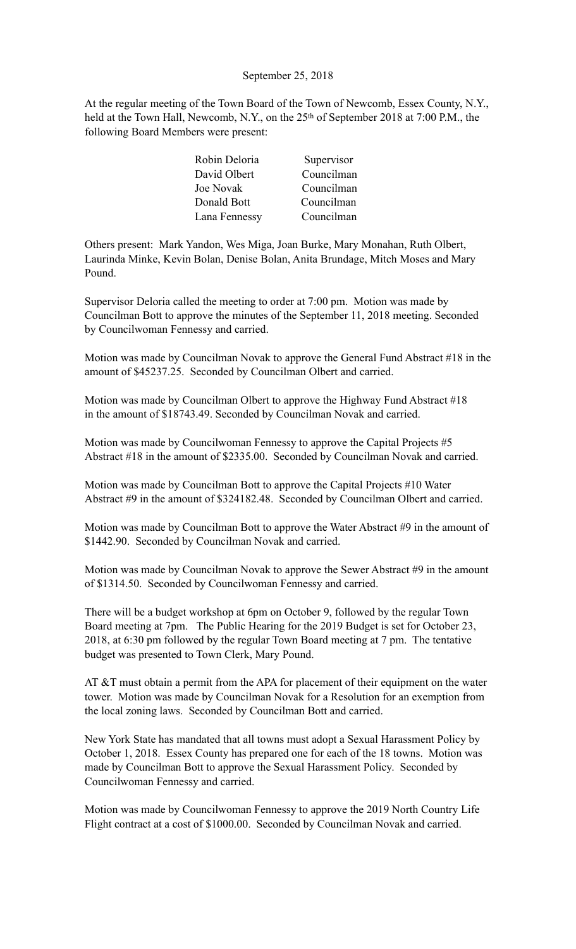# September 25, 2018

At the regular meeting of the Town Board of the Town of Newcomb, Essex County, N.Y., held at the Town Hall, Newcomb, N.Y., on the 25<sup>th</sup> of September 2018 at 7:00 P.M., the following Board Members were present:

| Robin Deloria | Supervisor |
|---------------|------------|
| David Olbert  | Councilman |
| Joe Novak     | Councilman |
| Donald Bott   | Councilman |
| Lana Fennessy | Councilman |

Others present: Mark Yandon, Wes Miga, Joan Burke, Mary Monahan, Ruth Olbert, Laurinda Minke, Kevin Bolan, Denise Bolan, Anita Brundage, Mitch Moses and Mary Pound.

Supervisor Deloria called the meeting to order at 7:00 pm. Motion was made by Councilman Bott to approve the minutes of the September 11, 2018 meeting. Seconded by Councilwoman Fennessy and carried.

Motion was made by Councilman Novak to approve the General Fund Abstract #18 in the amount of \$45237.25. Seconded by Councilman Olbert and carried.

Motion was made by Councilman Olbert to approve the Highway Fund Abstract #18 in the amount of \$18743.49. Seconded by Councilman Novak and carried.

Motion was made by Councilwoman Fennessy to approve the Capital Projects #5 Abstract #18 in the amount of \$2335.00. Seconded by Councilman Novak and carried.

Motion was made by Councilman Bott to approve the Capital Projects #10 Water Abstract #9 in the amount of \$324182.48. Seconded by Councilman Olbert and carried.

Motion was made by Councilman Bott to approve the Water Abstract #9 in the amount of \$1442.90. Seconded by Councilman Novak and carried.

Motion was made by Councilman Novak to approve the Sewer Abstract #9 in the amount of \$1314.50. Seconded by Councilwoman Fennessy and carried.

There will be a budget workshop at 6pm on October 9, followed by the regular Town Board meeting at 7pm. The Public Hearing for the 2019 Budget is set for October 23, 2018, at 6:30 pm followed by the regular Town Board meeting at 7 pm. The tentative budget was presented to Town Clerk, Mary Pound.

AT &T must obtain a permit from the APA for placement of their equipment on the water tower. Motion was made by Councilman Novak for a Resolution for an exemption from the local zoning laws. Seconded by Councilman Bott and carried.

New York State has mandated that all towns must adopt a Sexual Harassment Policy by October 1, 2018. Essex County has prepared one for each of the 18 towns. Motion was made by Councilman Bott to approve the Sexual Harassment Policy. Seconded by Councilwoman Fennessy and carried.

Motion was made by Councilwoman Fennessy to approve the 2019 North Country Life Flight contract at a cost of \$1000.00. Seconded by Councilman Novak and carried.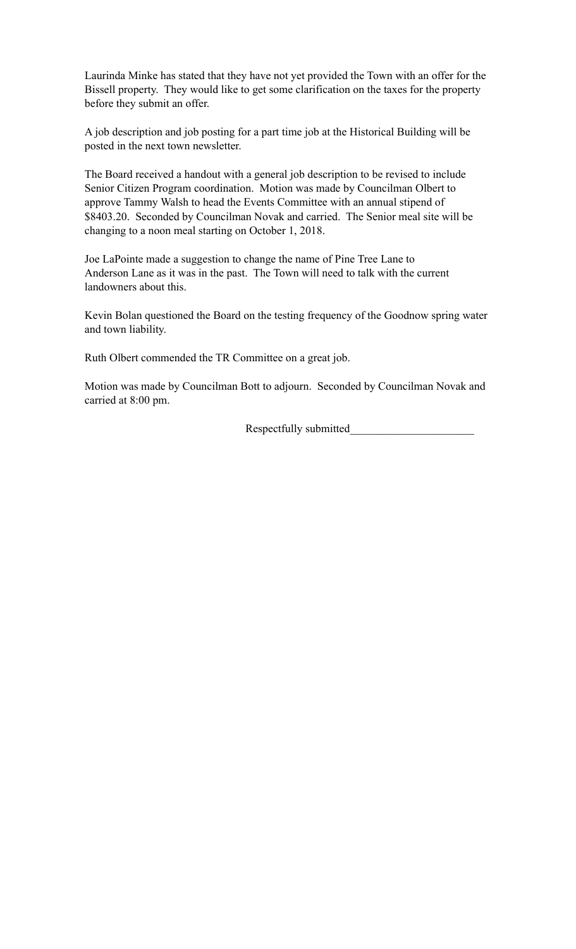Laurinda Minke has stated that they have not yet provided the Town with an offer for the Bissell property. They would like to get some clarification on the taxes for the property before they submit an offer.

A job description and job posting for a part time job at the Historical Building will be posted in the next town newsletter.

The Board received a handout with a general job description to be revised to include Senior Citizen Program coordination. Motion was made by Councilman Olbert to approve Tammy Walsh to head the Events Committee with an annual stipend of \$8403.20. Seconded by Councilman Novak and carried. The Senior meal site will be changing to a noon meal starting on October 1, 2018.

Joe LaPointe made a suggestion to change the name of Pine Tree Lane to Anderson Lane as it was in the past. The Town will need to talk with the current landowners about this.

Kevin Bolan questioned the Board on the testing frequency of the Goodnow spring water and town liability.

Ruth Olbert commended the TR Committee on a great job.

Motion was made by Councilman Bott to adjourn. Seconded by Councilman Novak and carried at 8:00 pm.

Respectfully submitted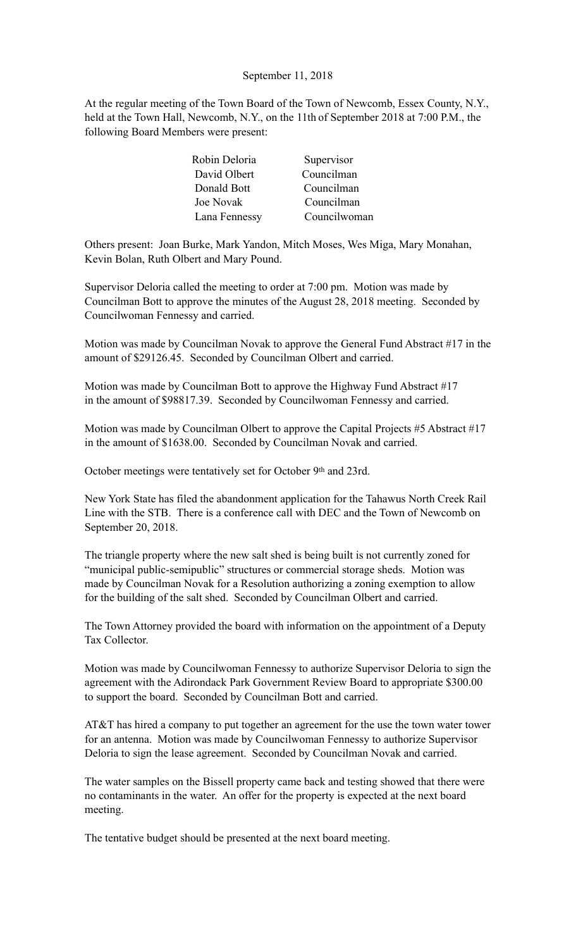# September 11, 2018

At the regular meeting of the Town Board of the Town of Newcomb, Essex County, N.Y., held at the Town Hall, Newcomb, N.Y., on the 11th of September 2018 at 7:00 P.M., the following Board Members were present:

| Robin Deloria | Supervisor   |
|---------------|--------------|
| David Olbert  | Councilman   |
| Donald Bott   | Councilman   |
| Joe Novak     | Councilman   |
| Lana Fennessy | Councilwoman |

Others present: Joan Burke, Mark Yandon, Mitch Moses, Wes Miga, Mary Monahan, Kevin Bolan, Ruth Olbert and Mary Pound.

Supervisor Deloria called the meeting to order at 7:00 pm. Motion was made by Councilman Bott to approve the minutes of the August 28, 2018 meeting. Seconded by Councilwoman Fennessy and carried.

Motion was made by Councilman Novak to approve the General Fund Abstract #17 in the amount of \$29126.45. Seconded by Councilman Olbert and carried.

Motion was made by Councilman Bott to approve the Highway Fund Abstract #17 in the amount of \$98817.39. Seconded by Councilwoman Fennessy and carried.

Motion was made by Councilman Olbert to approve the Capital Projects #5 Abstract #17 in the amount of \$1638.00. Seconded by Councilman Novak and carried.

October meetings were tentatively set for October 9th and 23rd.

New York State has filed the abandonment application for the Tahawus North Creek Rail Line with the STB. There is a conference call with DEC and the Town of Newcomb on September 20, 2018.

The triangle property where the new salt shed is being built is not currently zoned for "municipal public-semipublic" structures or commercial storage sheds. Motion was made by Councilman Novak for a Resolution authorizing a zoning exemption to allow for the building of the salt shed. Seconded by Councilman Olbert and carried.

The Town Attorney provided the board with information on the appointment of a Deputy Tax Collector.

Motion was made by Councilwoman Fennessy to authorize Supervisor Deloria to sign the agreement with the Adirondack Park Government Review Board to appropriate \$300.00 to support the board. Seconded by Councilman Bott and carried.

AT&T has hired a company to put together an agreement for the use the town water tower for an antenna. Motion was made by Councilwoman Fennessy to authorize Supervisor Deloria to sign the lease agreement. Seconded by Councilman Novak and carried.

The water samples on the Bissell property came back and testing showed that there were no contaminants in the water. An offer for the property is expected at the next board meeting.

The tentative budget should be presented at the next board meeting.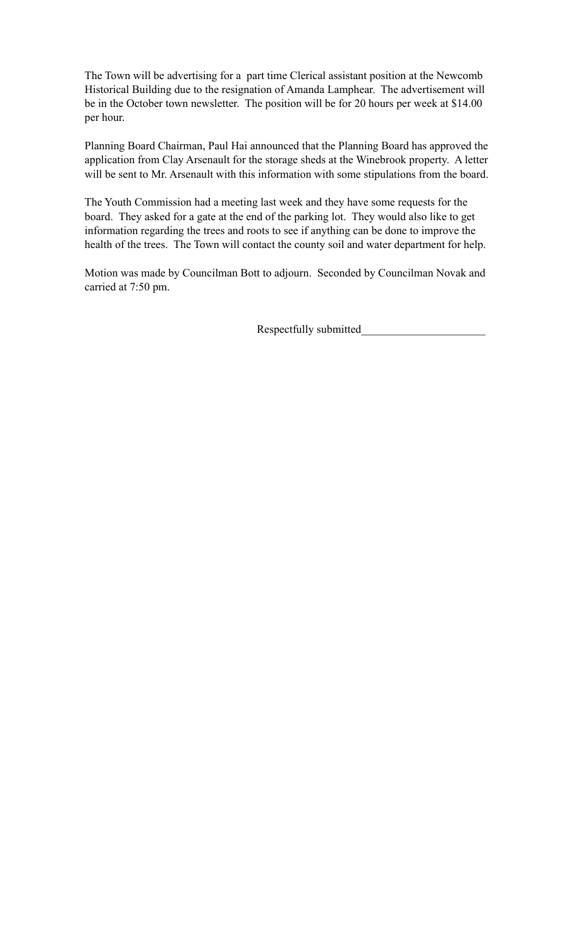The Town will be advertising for a part time Clerical assistant position at the Newcomb Historical Building due to the resignation of Amanda Lamphear. The advertisement will be in the October town newsletter. The position will be for 20 hours per week at \$14.00 per hour.

Planning Board Chairman, Paul Hai announced that the Planning Board has approved the application from Clay Arsenault for the storage sheds at the Winebrook property. A letter will be sent to Mr. Arsenault with this information with some stipulations from the board.

The Youth Commission had a meeting last week and they have some requests for the board. They asked for a gate at the end of the parking lot. They would also like to get information regarding the trees and roots to see if anything can be done to improve the health of the trees. The Town will contact the county soil and water department for help.

Motion was made by Councilman Bott to adjourn. Seconded by Councilman Novak and carried at 7:50 pm.

Respectfully submitted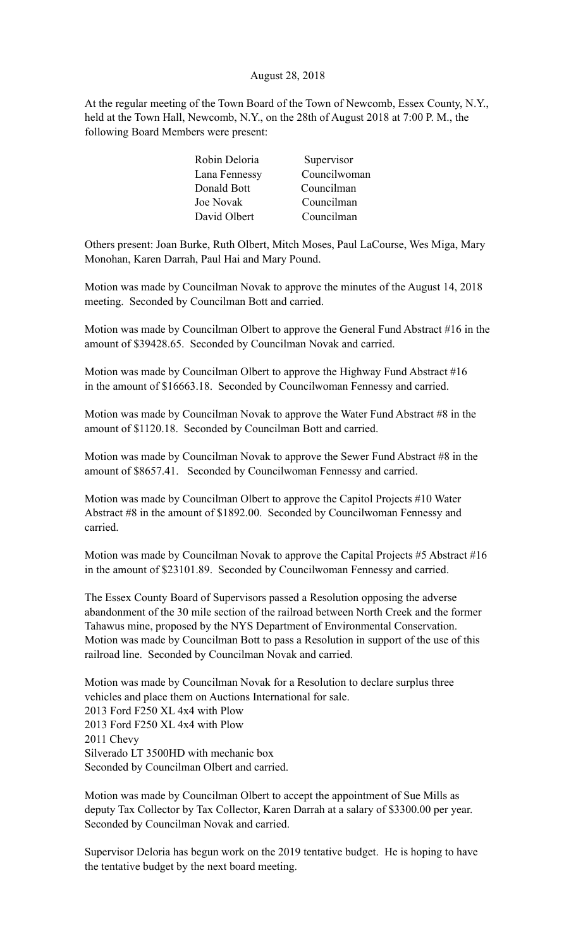# August 28, 2018

At the regular meeting of the Town Board of the Town of Newcomb, Essex County, N.Y., held at the Town Hall, Newcomb, N.Y., on the 28th of August 2018 at 7:00 P. M., the following Board Members were present:

| Supervisor   |
|--------------|
| Councilwoman |
| Councilman   |
| Councilman   |
| Councilman   |
|              |

Others present: Joan Burke, Ruth Olbert, Mitch Moses, Paul LaCourse, Wes Miga, Mary Monohan, Karen Darrah, Paul Hai and Mary Pound.

Motion was made by Councilman Novak to approve the minutes of the August 14, 2018 meeting. Seconded by Councilman Bott and carried.

Motion was made by Councilman Olbert to approve the General Fund Abstract #16 in the amount of \$39428.65. Seconded by Councilman Novak and carried.

Motion was made by Councilman Olbert to approve the Highway Fund Abstract #16 in the amount of \$16663.18. Seconded by Councilwoman Fennessy and carried.

Motion was made by Councilman Novak to approve the Water Fund Abstract #8 in the amount of \$1120.18. Seconded by Councilman Bott and carried.

Motion was made by Councilman Novak to approve the Sewer Fund Abstract #8 in the amount of \$8657.41. Seconded by Councilwoman Fennessy and carried.

Motion was made by Councilman Olbert to approve the Capitol Projects #10 Water Abstract #8 in the amount of \$1892.00. Seconded by Councilwoman Fennessy and carried.

Motion was made by Councilman Novak to approve the Capital Projects #5 Abstract #16 in the amount of \$23101.89. Seconded by Councilwoman Fennessy and carried.

The Essex County Board of Supervisors passed a Resolution opposing the adverse abandonment of the 30 mile section of the railroad between North Creek and the former Tahawus mine, proposed by the NYS Department of Environmental Conservation. Motion was made by Councilman Bott to pass a Resolution in support of the use of this railroad line. Seconded by Councilman Novak and carried.

Motion was made by Councilman Novak for a Resolution to declare surplus three vehicles and place them on Auctions International for sale. 2013 Ford F250 XL 4x4 with Plow 2013 Ford F250 XL 4x4 with Plow 2011 Chevy Silverado LT 3500HD with mechanic box Seconded by Councilman Olbert and carried.

Motion was made by Councilman Olbert to accept the appointment of Sue Mills as deputy Tax Collector by Tax Collector, Karen Darrah at a salary of \$3300.00 per year. Seconded by Councilman Novak and carried.

Supervisor Deloria has begun work on the 2019 tentative budget. He is hoping to have the tentative budget by the next board meeting.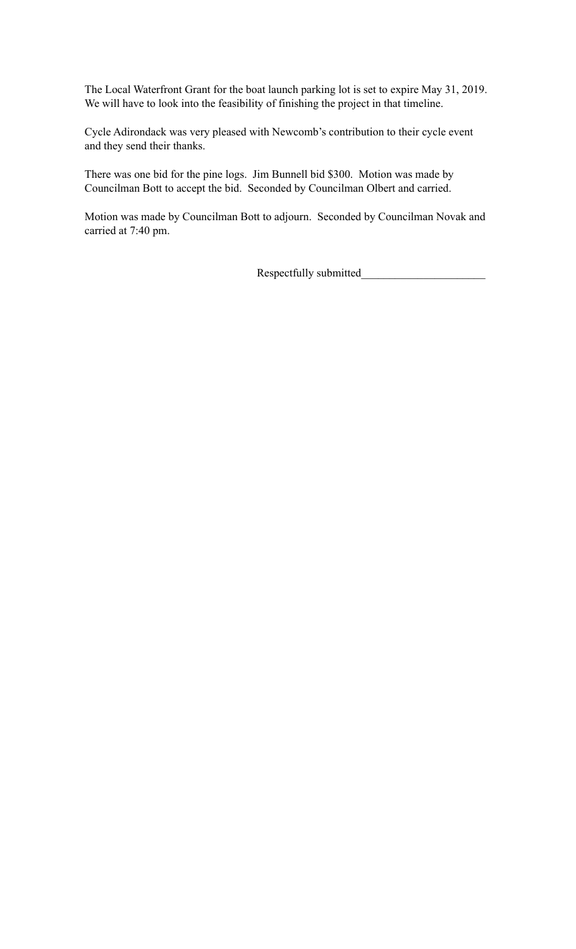The Local Waterfront Grant for the boat launch parking lot is set to expire May 31, 2019. We will have to look into the feasibility of finishing the project in that timeline.

Cycle Adirondack was very pleased with Newcomb's contribution to their cycle event and they send their thanks.

There was one bid for the pine logs. Jim Bunnell bid \$300. Motion was made by Councilman Bott to accept the bid. Seconded by Councilman Olbert and carried.

Motion was made by Councilman Bott to adjourn. Seconded by Councilman Novak and carried at 7:40 pm.

Respectfully submitted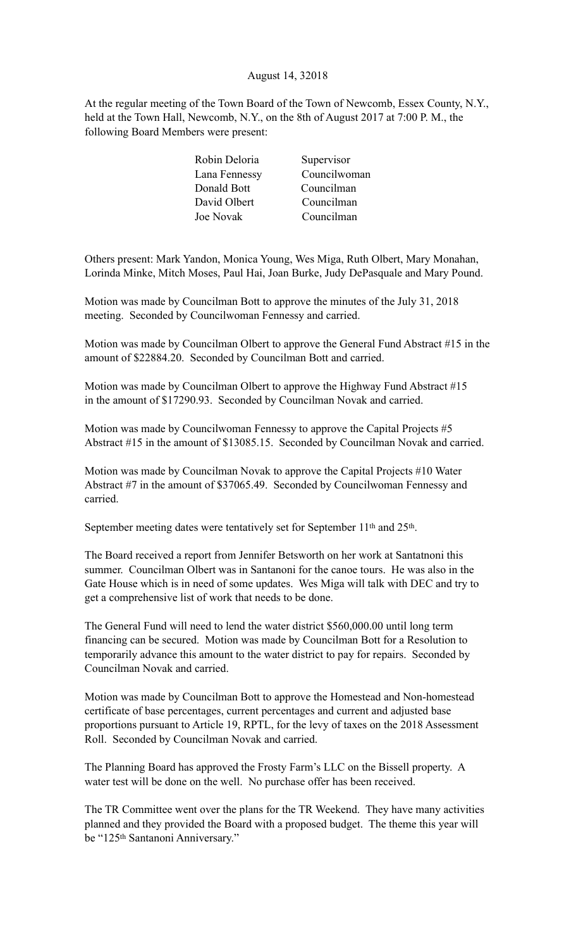# August 14, 32018

At the regular meeting of the Town Board of the Town of Newcomb, Essex County, N.Y., held at the Town Hall, Newcomb, N.Y., on the 8th of August 2017 at 7:00 P. M., the following Board Members were present:

| Robin Deloria | Supervisor   |
|---------------|--------------|
| Lana Fennessy | Councilwoman |
| Donald Bott   | Councilman   |
| David Olbert  | Councilman   |
| Joe Novak     | Councilman   |
|               |              |

Others present: Mark Yandon, Monica Young, Wes Miga, Ruth Olbert, Mary Monahan, Lorinda Minke, Mitch Moses, Paul Hai, Joan Burke, Judy DePasquale and Mary Pound.

Motion was made by Councilman Bott to approve the minutes of the July 31, 2018 meeting. Seconded by Councilwoman Fennessy and carried.

Motion was made by Councilman Olbert to approve the General Fund Abstract #15 in the amount of \$22884.20. Seconded by Councilman Bott and carried.

Motion was made by Councilman Olbert to approve the Highway Fund Abstract #15 in the amount of \$17290.93. Seconded by Councilman Novak and carried.

Motion was made by Councilwoman Fennessy to approve the Capital Projects #5 Abstract #15 in the amount of \$13085.15. Seconded by Councilman Novak and carried.

Motion was made by Councilman Novak to approve the Capital Projects #10 Water Abstract #7 in the amount of \$37065.49. Seconded by Councilwoman Fennessy and carried.

September meeting dates were tentatively set for September 11<sup>th</sup> and 25<sup>th</sup>.

The Board received a report from Jennifer Betsworth on her work at Santatnoni this summer. Councilman Olbert was in Santanoni for the canoe tours. He was also in the Gate House which is in need of some updates. Wes Miga will talk with DEC and try to get a comprehensive list of work that needs to be done.

The General Fund will need to lend the water district \$560,000.00 until long term financing can be secured. Motion was made by Councilman Bott for a Resolution to temporarily advance this amount to the water district to pay for repairs. Seconded by Councilman Novak and carried.

Motion was made by Councilman Bott to approve the Homestead and Non-homestead certificate of base percentages, current percentages and current and adjusted base proportions pursuant to Article 19, RPTL, for the levy of taxes on the 2018 Assessment Roll. Seconded by Councilman Novak and carried.

The Planning Board has approved the Frosty Farm's LLC on the Bissell property. A water test will be done on the well. No purchase offer has been received.

The TR Committee went over the plans for the TR Weekend. They have many activities planned and they provided the Board with a proposed budget. The theme this year will be "125th Santanoni Anniversary."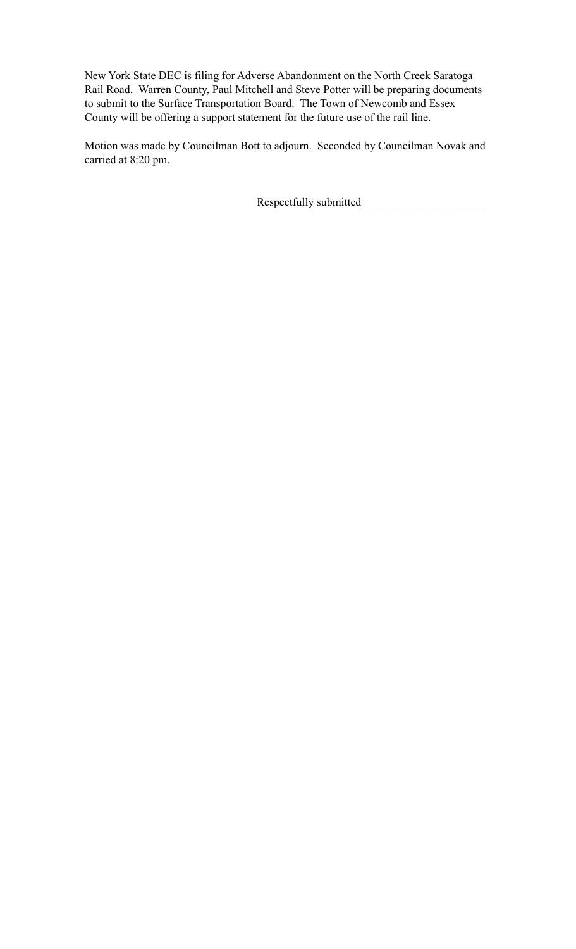New York State DEC is filing for Adverse Abandonment on the North Creek Saratoga Rail Road. Warren County, Paul Mitchell and Steve Potter will be preparing documents to submit to the Surface Transportation Board. The Town of Newcomb and Essex County will be offering a support statement for the future use of the rail line.

Motion was made by Councilman Bott to adjourn. Seconded by Councilman Novak and carried at 8:20 pm.

Respectfully submitted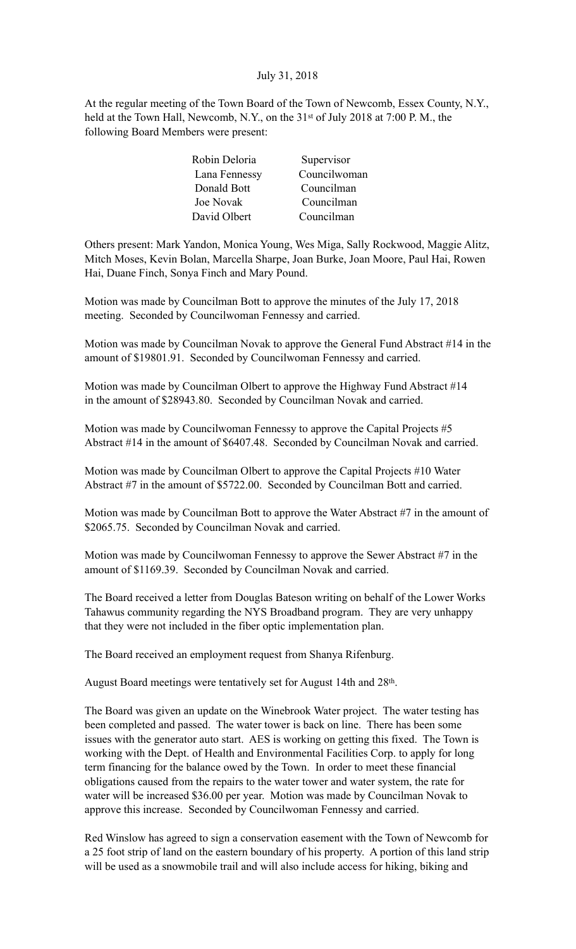# July 31, 2018

At the regular meeting of the Town Board of the Town of Newcomb, Essex County, N.Y., held at the Town Hall, Newcomb, N.Y., on the 31<sup>st</sup> of July 2018 at 7:00 P.M., the following Board Members were present:

| Supervisor   |
|--------------|
| Councilwoman |
| Councilman   |
| Councilman   |
| Councilman   |
|              |

Others present: Mark Yandon, Monica Young, Wes Miga, Sally Rockwood, Maggie Alitz, Mitch Moses, Kevin Bolan, Marcella Sharpe, Joan Burke, Joan Moore, Paul Hai, Rowen Hai, Duane Finch, Sonya Finch and Mary Pound.

Motion was made by Councilman Bott to approve the minutes of the July 17, 2018 meeting. Seconded by Councilwoman Fennessy and carried.

Motion was made by Councilman Novak to approve the General Fund Abstract #14 in the amount of \$19801.91. Seconded by Councilwoman Fennessy and carried.

Motion was made by Councilman Olbert to approve the Highway Fund Abstract #14 in the amount of \$28943.80. Seconded by Councilman Novak and carried.

Motion was made by Councilwoman Fennessy to approve the Capital Projects #5 Abstract #14 in the amount of \$6407.48. Seconded by Councilman Novak and carried.

Motion was made by Councilman Olbert to approve the Capital Projects #10 Water Abstract #7 in the amount of \$5722.00. Seconded by Councilman Bott and carried.

Motion was made by Councilman Bott to approve the Water Abstract #7 in the amount of \$2065.75. Seconded by Councilman Novak and carried.

Motion was made by Councilwoman Fennessy to approve the Sewer Abstract #7 in the amount of \$1169.39. Seconded by Councilman Novak and carried.

The Board received a letter from Douglas Bateson writing on behalf of the Lower Works Tahawus community regarding the NYS Broadband program. They are very unhappy that they were not included in the fiber optic implementation plan.

The Board received an employment request from Shanya Rifenburg.

August Board meetings were tentatively set for August 14th and 28th.

The Board was given an update on the Winebrook Water project. The water testing has been completed and passed. The water tower is back on line. There has been some issues with the generator auto start. AES is working on getting this fixed. The Town is working with the Dept. of Health and Environmental Facilities Corp. to apply for long term financing for the balance owed by the Town. In order to meet these financial obligations caused from the repairs to the water tower and water system, the rate for water will be increased \$36.00 per year. Motion was made by Councilman Novak to approve this increase. Seconded by Councilwoman Fennessy and carried.

Red Winslow has agreed to sign a conservation easement with the Town of Newcomb for a 25 foot strip of land on the eastern boundary of his property. A portion of this land strip will be used as a snowmobile trail and will also include access for hiking, biking and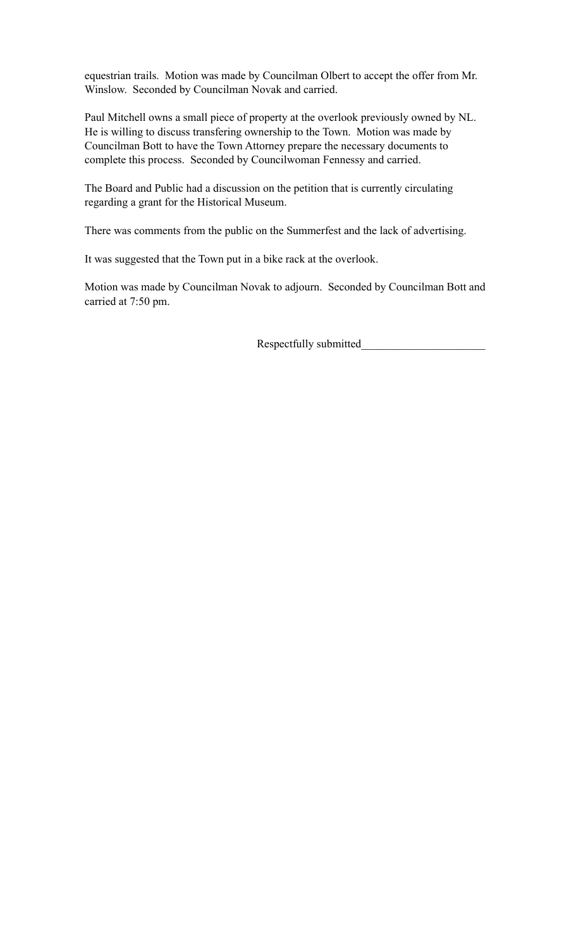equestrian trails. Motion was made by Councilman Olbert to accept the offer from Mr. Winslow. Seconded by Councilman Novak and carried.

Paul Mitchell owns a small piece of property at the overlook previously owned by NL. He is willing to discuss transfering ownership to the Town. Motion was made by Councilman Bott to have the Town Attorney prepare the necessary documents to complete this process. Seconded by Councilwoman Fennessy and carried.

The Board and Public had a discussion on the petition that is currently circulating regarding a grant for the Historical Museum.

There was comments from the public on the Summerfest and the lack of advertising.

It was suggested that the Town put in a bike rack at the overlook.

Motion was made by Councilman Novak to adjourn. Seconded by Councilman Bott and carried at 7:50 pm.

Respectfully submitted\_\_\_\_\_\_\_\_\_\_\_\_\_\_\_\_\_\_\_\_\_\_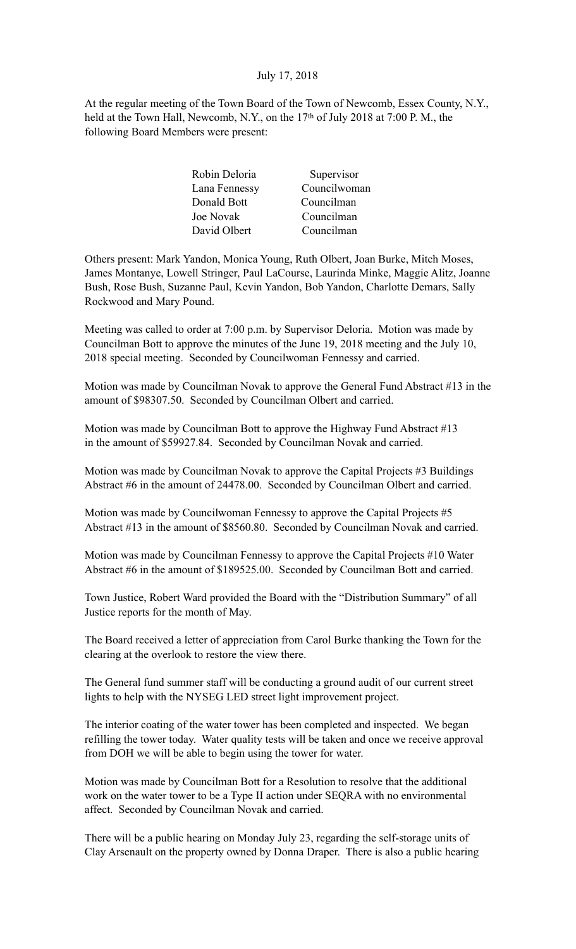# July 17, 2018

At the regular meeting of the Town Board of the Town of Newcomb, Essex County, N.Y., held at the Town Hall, Newcomb, N.Y., on the 17<sup>th</sup> of July 2018 at 7:00 P.M., the following Board Members were present:

| Robin Deloria | Supervisor   |
|---------------|--------------|
| Lana Fennessy | Councilwoman |
| Donald Bott   | Councilman   |
| Joe Novak     | Councilman   |
| David Olbert  | Councilman   |

Others present: Mark Yandon, Monica Young, Ruth Olbert, Joan Burke, Mitch Moses, James Montanye, Lowell Stringer, Paul LaCourse, Laurinda Minke, Maggie Alitz, Joanne Bush, Rose Bush, Suzanne Paul, Kevin Yandon, Bob Yandon, Charlotte Demars, Sally Rockwood and Mary Pound.

Meeting was called to order at 7:00 p.m. by Supervisor Deloria. Motion was made by Councilman Bott to approve the minutes of the June 19, 2018 meeting and the July 10, 2018 special meeting. Seconded by Councilwoman Fennessy and carried.

Motion was made by Councilman Novak to approve the General Fund Abstract #13 in the amount of \$98307.50. Seconded by Councilman Olbert and carried.

Motion was made by Councilman Bott to approve the Highway Fund Abstract #13 in the amount of \$59927.84. Seconded by Councilman Novak and carried.

Motion was made by Councilman Novak to approve the Capital Projects #3 Buildings Abstract #6 in the amount of 24478.00. Seconded by Councilman Olbert and carried.

Motion was made by Councilwoman Fennessy to approve the Capital Projects #5 Abstract #13 in the amount of \$8560.80. Seconded by Councilman Novak and carried.

Motion was made by Councilman Fennessy to approve the Capital Projects #10 Water Abstract #6 in the amount of \$189525.00. Seconded by Councilman Bott and carried.

Town Justice, Robert Ward provided the Board with the "Distribution Summary" of all Justice reports for the month of May.

The Board received a letter of appreciation from Carol Burke thanking the Town for the clearing at the overlook to restore the view there.

The General fund summer staff will be conducting a ground audit of our current street lights to help with the NYSEG LED street light improvement project.

The interior coating of the water tower has been completed and inspected. We began refilling the tower today. Water quality tests will be taken and once we receive approval from DOH we will be able to begin using the tower for water.

Motion was made by Councilman Bott for a Resolution to resolve that the additional work on the water tower to be a Type II action under SEQRA with no environmental affect. Seconded by Councilman Novak and carried.

There will be a public hearing on Monday July 23, regarding the self-storage units of Clay Arsenault on the property owned by Donna Draper. There is also a public hearing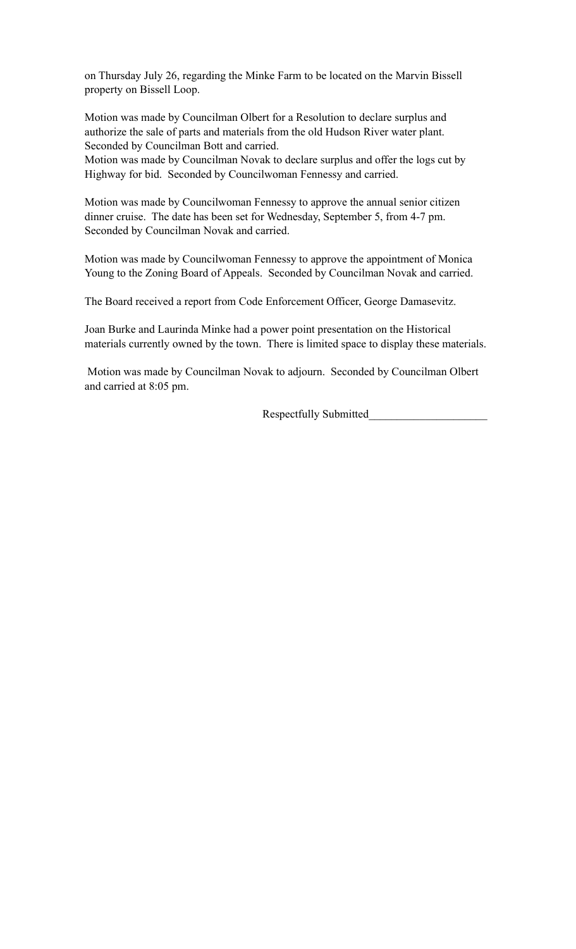on Thursday July 26, regarding the Minke Farm to be located on the Marvin Bissell property on Bissell Loop.

Motion was made by Councilman Olbert for a Resolution to declare surplus and authorize the sale of parts and materials from the old Hudson River water plant. Seconded by Councilman Bott and carried.

Motion was made by Councilman Novak to declare surplus and offer the logs cut by Highway for bid. Seconded by Councilwoman Fennessy and carried.

Motion was made by Councilwoman Fennessy to approve the annual senior citizen dinner cruise. The date has been set for Wednesday, September 5, from 4-7 pm. Seconded by Councilman Novak and carried.

Motion was made by Councilwoman Fennessy to approve the appointment of Monica Young to the Zoning Board of Appeals. Seconded by Councilman Novak and carried.

The Board received a report from Code Enforcement Officer, George Damasevitz.

Joan Burke and Laurinda Minke had a power point presentation on the Historical materials currently owned by the town. There is limited space to display these materials.

 Motion was made by Councilman Novak to adjourn. Seconded by Councilman Olbert and carried at 8:05 pm.

Respectfully Submitted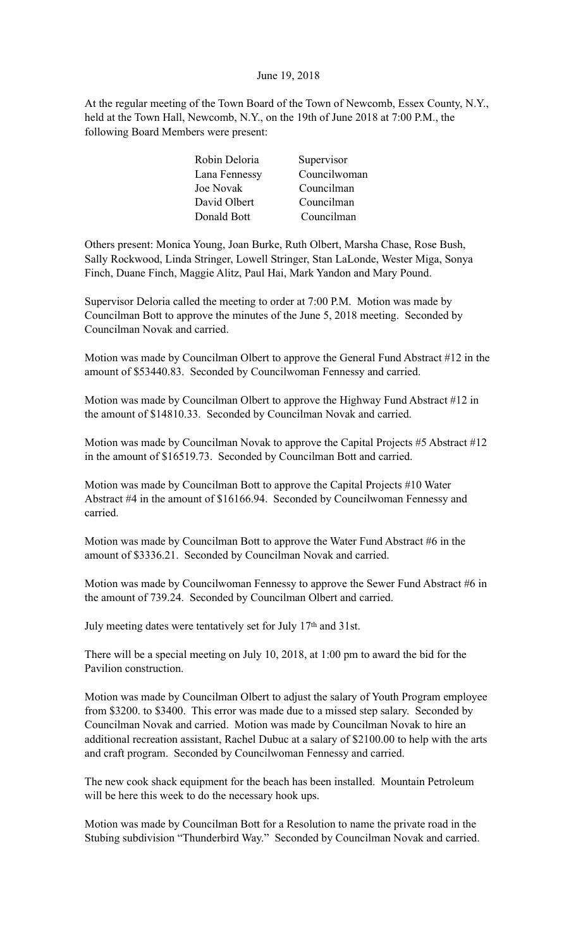### June 19, 2018

At the regular meeting of the Town Board of the Town of Newcomb, Essex County, N.Y., held at the Town Hall, Newcomb, N.Y., on the 19th of June 2018 at 7:00 P.M., the following Board Members were present:

| Robin Deloria | Supervisor   |
|---------------|--------------|
| Lana Fennessy | Councilwoman |
| Joe Novak     | Councilman   |
| David Olbert  | Councilman   |
| Donald Bott   | Councilman   |
|               |              |

Others present: Monica Young, Joan Burke, Ruth Olbert, Marsha Chase, Rose Bush, Sally Rockwood, Linda Stringer, Lowell Stringer, Stan LaLonde, Wester Miga, Sonya Finch, Duane Finch, Maggie Alitz, Paul Hai, Mark Yandon and Mary Pound.

Supervisor Deloria called the meeting to order at 7:00 P.M. Motion was made by Councilman Bott to approve the minutes of the June 5, 2018 meeting. Seconded by Councilman Novak and carried.

Motion was made by Councilman Olbert to approve the General Fund Abstract #12 in the amount of \$53440.83. Seconded by Councilwoman Fennessy and carried.

Motion was made by Councilman Olbert to approve the Highway Fund Abstract #12 in the amount of \$14810.33. Seconded by Councilman Novak and carried.

Motion was made by Councilman Novak to approve the Capital Projects #5 Abstract #12 in the amount of \$16519.73. Seconded by Councilman Bott and carried.

Motion was made by Councilman Bott to approve the Capital Projects #10 Water Abstract #4 in the amount of \$16166.94. Seconded by Councilwoman Fennessy and carried.

Motion was made by Councilman Bott to approve the Water Fund Abstract #6 in the amount of \$3336.21. Seconded by Councilman Novak and carried.

Motion was made by Councilwoman Fennessy to approve the Sewer Fund Abstract #6 in the amount of 739.24. Seconded by Councilman Olbert and carried.

July meeting dates were tentatively set for July 17th and 31st.

There will be a special meeting on July 10, 2018, at 1:00 pm to award the bid for the Pavilion construction.

Motion was made by Councilman Olbert to adjust the salary of Youth Program employee from \$3200. to \$3400. This error was made due to a missed step salary. Seconded by Councilman Novak and carried. Motion was made by Councilman Novak to hire an additional recreation assistant, Rachel Dubuc at a salary of \$2100.00 to help with the arts and craft program. Seconded by Councilwoman Fennessy and carried.

The new cook shack equipment for the beach has been installed. Mountain Petroleum will be here this week to do the necessary hook ups.

Motion was made by Councilman Bott for a Resolution to name the private road in the Stubing subdivision "Thunderbird Way." Seconded by Councilman Novak and carried.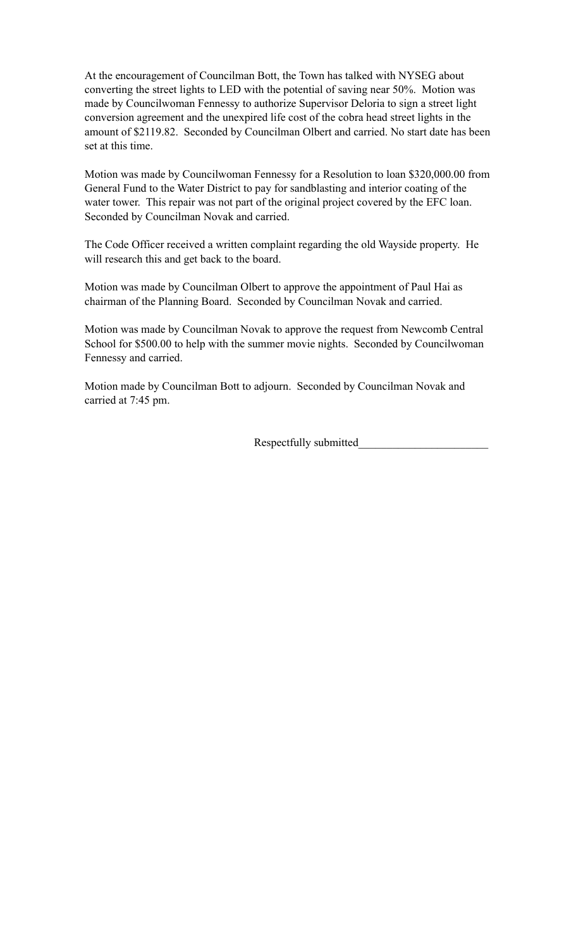At the encouragement of Councilman Bott, the Town has talked with NYSEG about converting the street lights to LED with the potential of saving near 50%. Motion was made by Councilwoman Fennessy to authorize Supervisor Deloria to sign a street light conversion agreement and the unexpired life cost of the cobra head street lights in the amount of \$2119.82. Seconded by Councilman Olbert and carried. No start date has been set at this time.

Motion was made by Councilwoman Fennessy for a Resolution to loan \$320,000.00 from General Fund to the Water District to pay for sandblasting and interior coating of the water tower. This repair was not part of the original project covered by the EFC loan. Seconded by Councilman Novak and carried.

The Code Officer received a written complaint regarding the old Wayside property. He will research this and get back to the board.

Motion was made by Councilman Olbert to approve the appointment of Paul Hai as chairman of the Planning Board. Seconded by Councilman Novak and carried.

Motion was made by Councilman Novak to approve the request from Newcomb Central School for \$500.00 to help with the summer movie nights. Seconded by Councilwoman Fennessy and carried.

Motion made by Councilman Bott to adjourn. Seconded by Councilman Novak and carried at 7:45 pm.

Respectfully submitted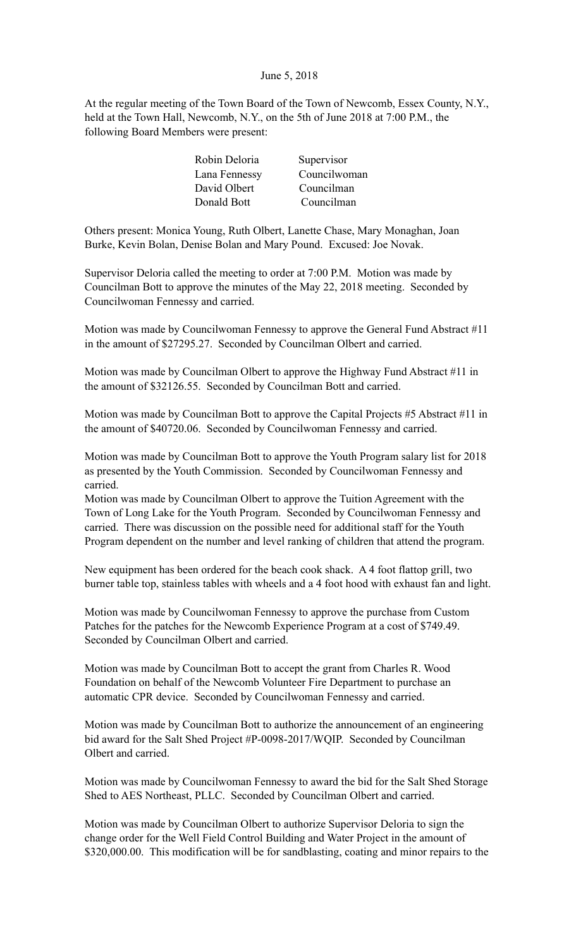#### June 5, 2018

At the regular meeting of the Town Board of the Town of Newcomb, Essex County, N.Y., held at the Town Hall, Newcomb, N.Y., on the 5th of June 2018 at 7:00 P.M., the following Board Members were present:

| Robin Deloria | Supervisor   |
|---------------|--------------|
| Lana Fennessy | Councilwoman |
| David Olbert  | Councilman   |
| Donald Bott   | Councilman   |

Others present: Monica Young, Ruth Olbert, Lanette Chase, Mary Monaghan, Joan Burke, Kevin Bolan, Denise Bolan and Mary Pound. Excused: Joe Novak.

Supervisor Deloria called the meeting to order at 7:00 P.M. Motion was made by Councilman Bott to approve the minutes of the May 22, 2018 meeting. Seconded by Councilwoman Fennessy and carried.

Motion was made by Councilwoman Fennessy to approve the General Fund Abstract #11 in the amount of \$27295.27. Seconded by Councilman Olbert and carried.

Motion was made by Councilman Olbert to approve the Highway Fund Abstract #11 in the amount of \$32126.55. Seconded by Councilman Bott and carried.

Motion was made by Councilman Bott to approve the Capital Projects #5 Abstract #11 in the amount of \$40720.06. Seconded by Councilwoman Fennessy and carried.

Motion was made by Councilman Bott to approve the Youth Program salary list for 2018 as presented by the Youth Commission. Seconded by Councilwoman Fennessy and carried.

Motion was made by Councilman Olbert to approve the Tuition Agreement with the Town of Long Lake for the Youth Program. Seconded by Councilwoman Fennessy and carried. There was discussion on the possible need for additional staff for the Youth Program dependent on the number and level ranking of children that attend the program.

New equipment has been ordered for the beach cook shack. A 4 foot flattop grill, two burner table top, stainless tables with wheels and a 4 foot hood with exhaust fan and light.

Motion was made by Councilwoman Fennessy to approve the purchase from Custom Patches for the patches for the Newcomb Experience Program at a cost of \$749.49. Seconded by Councilman Olbert and carried.

Motion was made by Councilman Bott to accept the grant from Charles R. Wood Foundation on behalf of the Newcomb Volunteer Fire Department to purchase an automatic CPR device. Seconded by Councilwoman Fennessy and carried.

Motion was made by Councilman Bott to authorize the announcement of an engineering bid award for the Salt Shed Project #P-0098-2017/WQIP. Seconded by Councilman Olbert and carried.

Motion was made by Councilwoman Fennessy to award the bid for the Salt Shed Storage Shed to AES Northeast, PLLC. Seconded by Councilman Olbert and carried.

Motion was made by Councilman Olbert to authorize Supervisor Deloria to sign the change order for the Well Field Control Building and Water Project in the amount of \$320,000.00. This modification will be for sandblasting, coating and minor repairs to the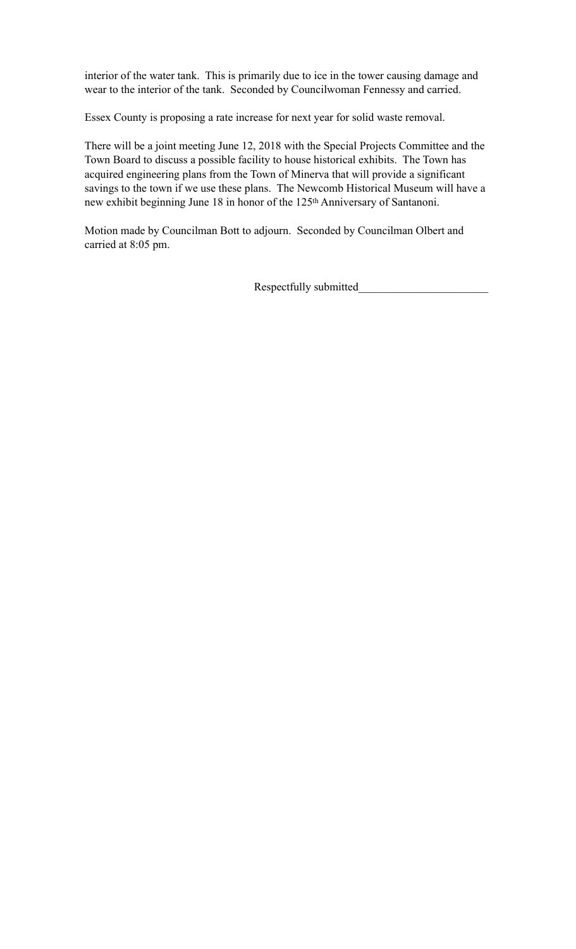interior of the water tank. This is primarily due to ice in the tower causing damage and wear to the interior of the tank. Seconded by Councilwoman Fennessy and carried.

Essex County is proposing a rate increase for next year for solid waste removal.

There will be a joint meeting June 12, 2018 with the Special Projects Committee and the Town Board to discuss a possible facility to house historical exhibits. The Town has acquired engineering plans from the Town of Minerva that will provide a significant savings to the town if we use these plans. The Newcomb Historical Museum will have a new exhibit beginning June 18 in honor of the 125th Anniversary of Santanoni.

Motion made by Councilman Bott to adjourn. Seconded by Councilman Olbert and carried at 8:05 pm.

Respectfully submitted\_\_\_\_\_\_\_\_\_\_\_\_\_\_\_\_\_\_\_\_\_\_\_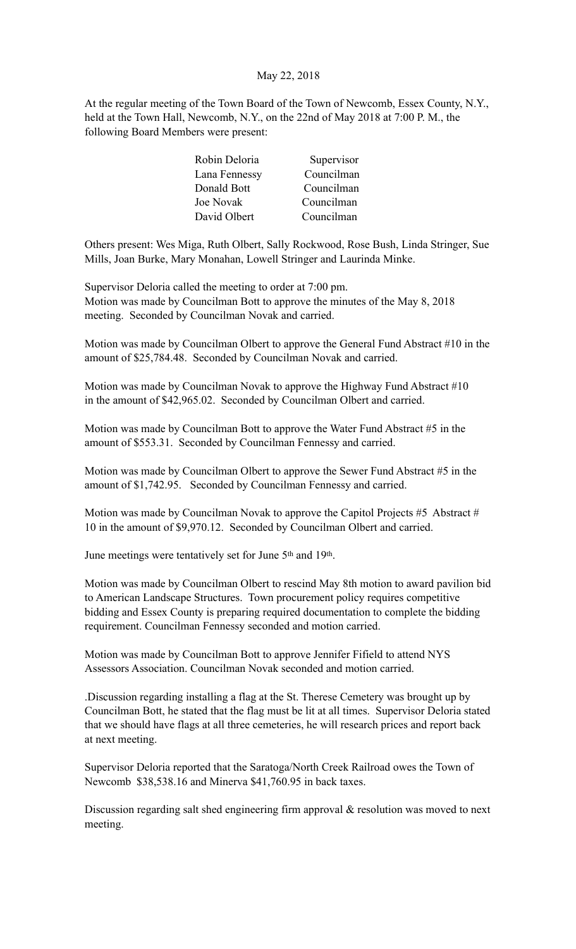# May 22, 2018

At the regular meeting of the Town Board of the Town of Newcomb, Essex County, N.Y., held at the Town Hall, Newcomb, N.Y., on the 22nd of May 2018 at 7:00 P. M., the following Board Members were present:

| Robin Deloria | Supervisor |
|---------------|------------|
| Lana Fennessy | Councilman |
| Donald Bott   | Councilman |
| Joe Novak     | Councilman |
| David Olbert  | Councilman |

Others present: Wes Miga, Ruth Olbert, Sally Rockwood, Rose Bush, Linda Stringer, Sue Mills, Joan Burke, Mary Monahan, Lowell Stringer and Laurinda Minke.

Supervisor Deloria called the meeting to order at 7:00 pm. Motion was made by Councilman Bott to approve the minutes of the May 8, 2018 meeting. Seconded by Councilman Novak and carried.

Motion was made by Councilman Olbert to approve the General Fund Abstract #10 in the amount of \$25,784.48. Seconded by Councilman Novak and carried.

Motion was made by Councilman Novak to approve the Highway Fund Abstract #10 in the amount of \$42,965.02. Seconded by Councilman Olbert and carried.

Motion was made by Councilman Bott to approve the Water Fund Abstract #5 in the amount of \$553.31. Seconded by Councilman Fennessy and carried.

Motion was made by Councilman Olbert to approve the Sewer Fund Abstract #5 in the amount of \$1,742.95. Seconded by Councilman Fennessy and carried.

Motion was made by Councilman Novak to approve the Capitol Projects #5 Abstract # 10 in the amount of \$9,970.12. Seconded by Councilman Olbert and carried.

June meetings were tentatively set for June 5th and 19th.

Motion was made by Councilman Olbert to rescind May 8th motion to award pavilion bid to American Landscape Structures. Town procurement policy requires competitive bidding and Essex County is preparing required documentation to complete the bidding requirement. Councilman Fennessy seconded and motion carried.

Motion was made by Councilman Bott to approve Jennifer Fifield to attend NYS Assessors Association. Councilman Novak seconded and motion carried.

.Discussion regarding installing a flag at the St. Therese Cemetery was brought up by Councilman Bott, he stated that the flag must be lit at all times. Supervisor Deloria stated that we should have flags at all three cemeteries, he will research prices and report back at next meeting.

Supervisor Deloria reported that the Saratoga/North Creek Railroad owes the Town of Newcomb \$38,538.16 and Minerva \$41,760.95 in back taxes.

Discussion regarding salt shed engineering firm approval & resolution was moved to next meeting.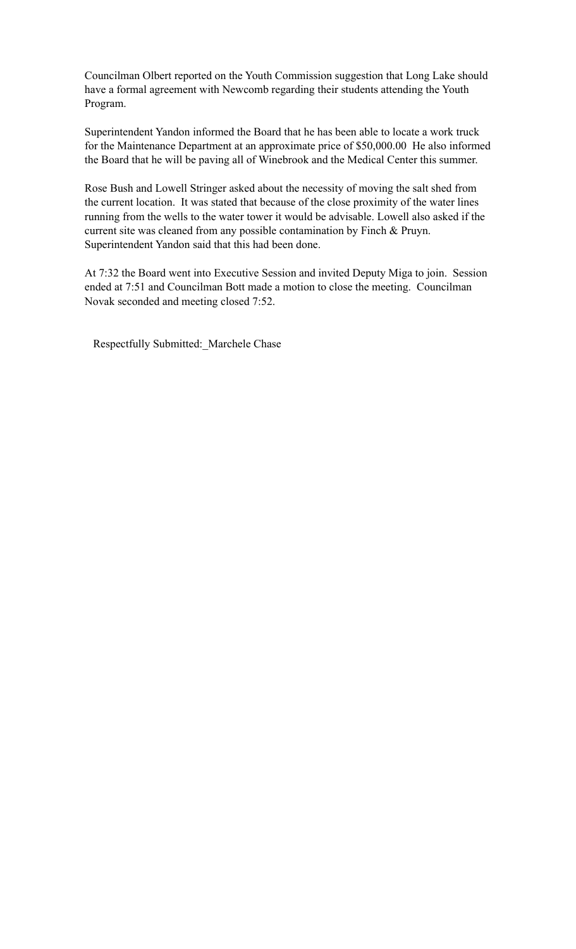Councilman Olbert reported on the Youth Commission suggestion that Long Lake should have a formal agreement with Newcomb regarding their students attending the Youth Program.

Superintendent Yandon informed the Board that he has been able to locate a work truck for the Maintenance Department at an approximate price of \$50,000.00 He also informed the Board that he will be paving all of Winebrook and the Medical Center this summer.

Rose Bush and Lowell Stringer asked about the necessity of moving the salt shed from the current location. It was stated that because of the close proximity of the water lines running from the wells to the water tower it would be advisable. Lowell also asked if the current site was cleaned from any possible contamination by Finch & Pruyn. Superintendent Yandon said that this had been done.

At 7:32 the Board went into Executive Session and invited Deputy Miga to join. Session ended at 7:51 and Councilman Bott made a motion to close the meeting. Councilman Novak seconded and meeting closed 7:52.

Respectfully Submitted:\_Marchele Chase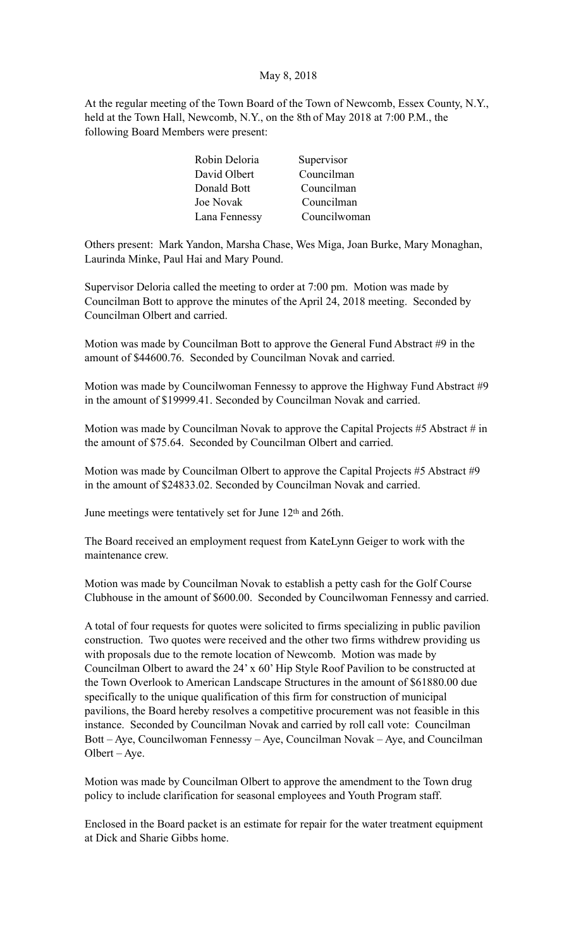# May 8, 2018

At the regular meeting of the Town Board of the Town of Newcomb, Essex County, N.Y., held at the Town Hall, Newcomb, N.Y., on the 8th of May 2018 at 7:00 P.M., the following Board Members were present:

| Robin Deloria | Supervisor   |
|---------------|--------------|
| David Olbert  | Councilman   |
| Donald Bott   | Councilman   |
| Joe Novak     | Councilman   |
| Lana Fennessy | Councilwoman |

Others present: Mark Yandon, Marsha Chase, Wes Miga, Joan Burke, Mary Monaghan, Laurinda Minke, Paul Hai and Mary Pound.

Supervisor Deloria called the meeting to order at 7:00 pm. Motion was made by Councilman Bott to approve the minutes of the April 24, 2018 meeting. Seconded by Councilman Olbert and carried.

Motion was made by Councilman Bott to approve the General Fund Abstract #9 in the amount of \$44600.76. Seconded by Councilman Novak and carried.

Motion was made by Councilwoman Fennessy to approve the Highway Fund Abstract #9 in the amount of \$19999.41. Seconded by Councilman Novak and carried.

Motion was made by Councilman Novak to approve the Capital Projects #5 Abstract # in the amount of \$75.64. Seconded by Councilman Olbert and carried.

Motion was made by Councilman Olbert to approve the Capital Projects #5 Abstract #9 in the amount of \$24833.02. Seconded by Councilman Novak and carried.

June meetings were tentatively set for June 12th and 26th.

The Board received an employment request from KateLynn Geiger to work with the maintenance crew.

Motion was made by Councilman Novak to establish a petty cash for the Golf Course Clubhouse in the amount of \$600.00. Seconded by Councilwoman Fennessy and carried.

A total of four requests for quotes were solicited to firms specializing in public pavilion construction. Two quotes were received and the other two firms withdrew providing us with proposals due to the remote location of Newcomb. Motion was made by Councilman Olbert to award the 24' x 60' Hip Style Roof Pavilion to be constructed at the Town Overlook to American Landscape Structures in the amount of \$61880.00 due specifically to the unique qualification of this firm for construction of municipal pavilions, the Board hereby resolves a competitive procurement was not feasible in this instance. Seconded by Councilman Novak and carried by roll call vote: Councilman Bott – Aye, Councilwoman Fennessy – Aye, Councilman Novak – Aye, and Councilman Olbert – Aye.

Motion was made by Councilman Olbert to approve the amendment to the Town drug policy to include clarification for seasonal employees and Youth Program staff.

Enclosed in the Board packet is an estimate for repair for the water treatment equipment at Dick and Sharie Gibbs home.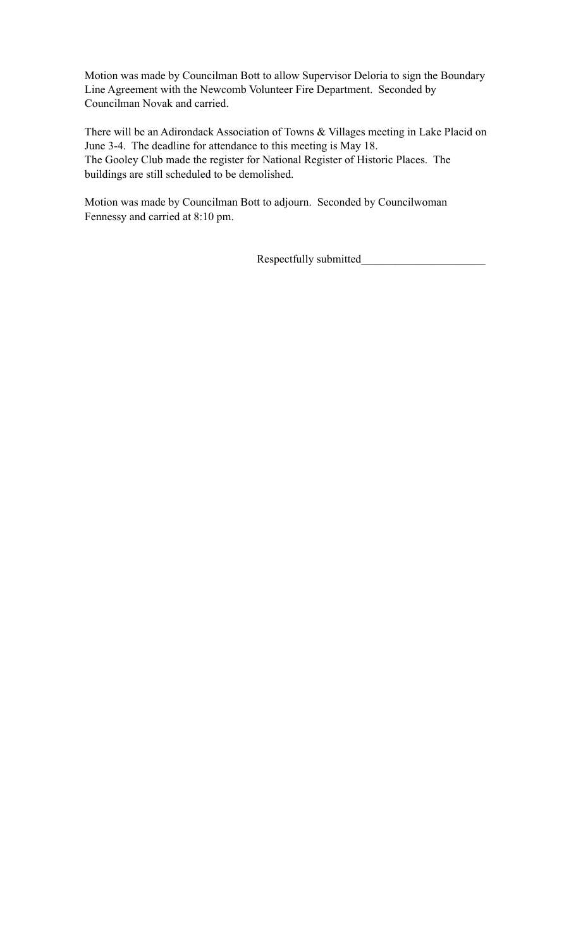Motion was made by Councilman Bott to allow Supervisor Deloria to sign the Boundary Line Agreement with the Newcomb Volunteer Fire Department. Seconded by Councilman Novak and carried.

There will be an Adirondack Association of Towns & Villages meeting in Lake Placid on June 3-4. The deadline for attendance to this meeting is May 18. The Gooley Club made the register for National Register of Historic Places. The buildings are still scheduled to be demolished.

Motion was made by Councilman Bott to adjourn. Seconded by Councilwoman Fennessy and carried at 8:10 pm.

Respectfully submitted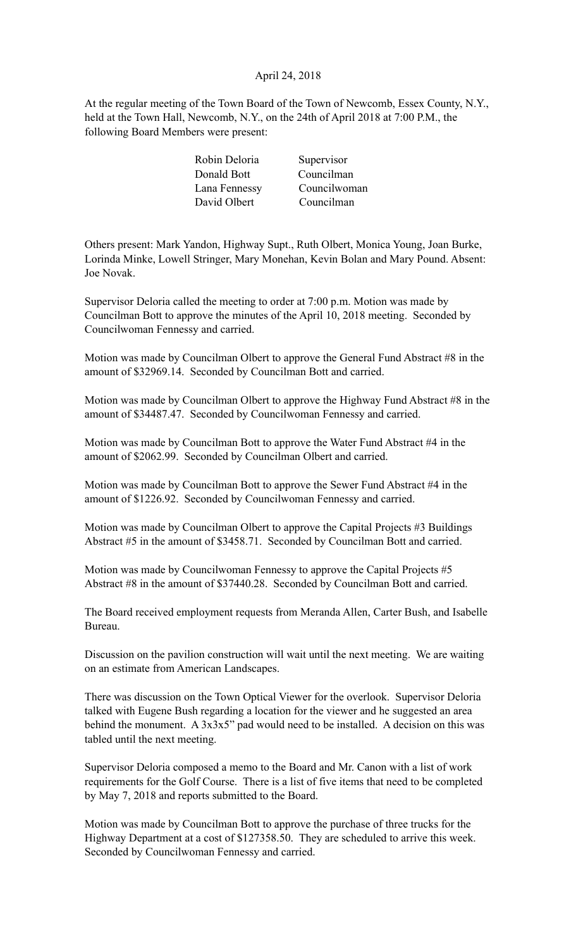# April 24, 2018

At the regular meeting of the Town Board of the Town of Newcomb, Essex County, N.Y., held at the Town Hall, Newcomb, N.Y., on the 24th of April 2018 at 7:00 P.M., the following Board Members were present:

| Robin Deloria | Supervisor   |
|---------------|--------------|
| Donald Bott   | Councilman   |
| Lana Fennessy | Councilwoman |
| David Olbert  | Councilman   |
|               |              |

Others present: Mark Yandon, Highway Supt., Ruth Olbert, Monica Young, Joan Burke, Lorinda Minke, Lowell Stringer, Mary Monehan, Kevin Bolan and Mary Pound. Absent: Joe Novak.

Supervisor Deloria called the meeting to order at 7:00 p.m. Motion was made by Councilman Bott to approve the minutes of the April 10, 2018 meeting. Seconded by Councilwoman Fennessy and carried.

Motion was made by Councilman Olbert to approve the General Fund Abstract #8 in the amount of \$32969.14. Seconded by Councilman Bott and carried.

Motion was made by Councilman Olbert to approve the Highway Fund Abstract #8 in the amount of \$34487.47. Seconded by Councilwoman Fennessy and carried.

Motion was made by Councilman Bott to approve the Water Fund Abstract #4 in the amount of \$2062.99. Seconded by Councilman Olbert and carried.

Motion was made by Councilman Bott to approve the Sewer Fund Abstract #4 in the amount of \$1226.92. Seconded by Councilwoman Fennessy and carried.

Motion was made by Councilman Olbert to approve the Capital Projects #3 Buildings Abstract #5 in the amount of \$3458.71. Seconded by Councilman Bott and carried.

Motion was made by Councilwoman Fennessy to approve the Capital Projects #5 Abstract #8 in the amount of \$37440.28. Seconded by Councilman Bott and carried.

The Board received employment requests from Meranda Allen, Carter Bush, and Isabelle Bureau.

Discussion on the pavilion construction will wait until the next meeting. We are waiting on an estimate from American Landscapes.

There was discussion on the Town Optical Viewer for the overlook. Supervisor Deloria talked with Eugene Bush regarding a location for the viewer and he suggested an area behind the monument. A 3x3x5" pad would need to be installed. A decision on this was tabled until the next meeting.

Supervisor Deloria composed a memo to the Board and Mr. Canon with a list of work requirements for the Golf Course. There is a list of five items that need to be completed by May 7, 2018 and reports submitted to the Board.

Motion was made by Councilman Bott to approve the purchase of three trucks for the Highway Department at a cost of \$127358.50. They are scheduled to arrive this week. Seconded by Councilwoman Fennessy and carried.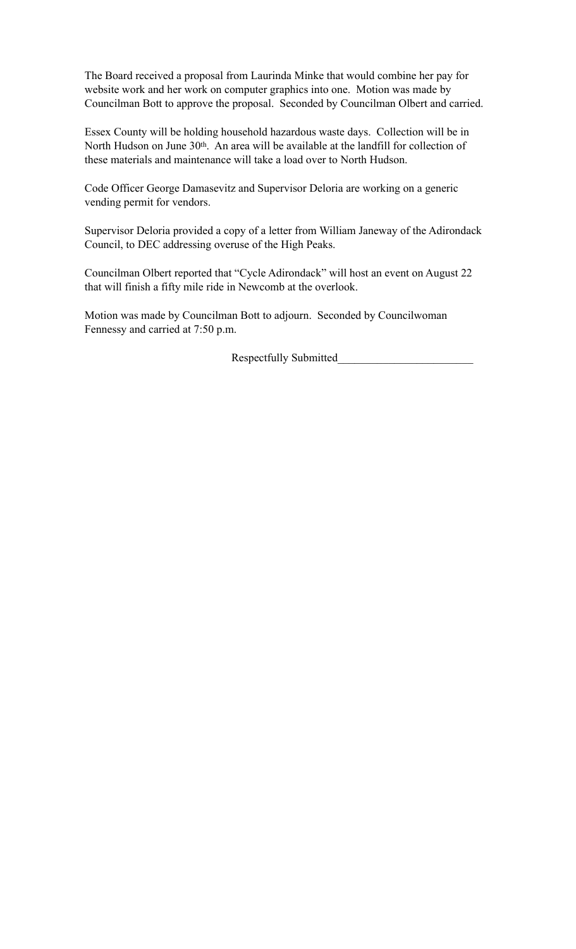The Board received a proposal from Laurinda Minke that would combine her pay for website work and her work on computer graphics into one. Motion was made by Councilman Bott to approve the proposal. Seconded by Councilman Olbert and carried.

Essex County will be holding household hazardous waste days. Collection will be in North Hudson on June 30<sup>th</sup>. An area will be available at the landfill for collection of these materials and maintenance will take a load over to North Hudson.

Code Officer George Damasevitz and Supervisor Deloria are working on a generic vending permit for vendors.

Supervisor Deloria provided a copy of a letter from William Janeway of the Adirondack Council, to DEC addressing overuse of the High Peaks.

Councilman Olbert reported that "Cycle Adirondack" will host an event on August 22 that will finish a fifty mile ride in Newcomb at the overlook.

Motion was made by Councilman Bott to adjourn. Seconded by Councilwoman Fennessy and carried at 7:50 p.m.

Respectfully Submitted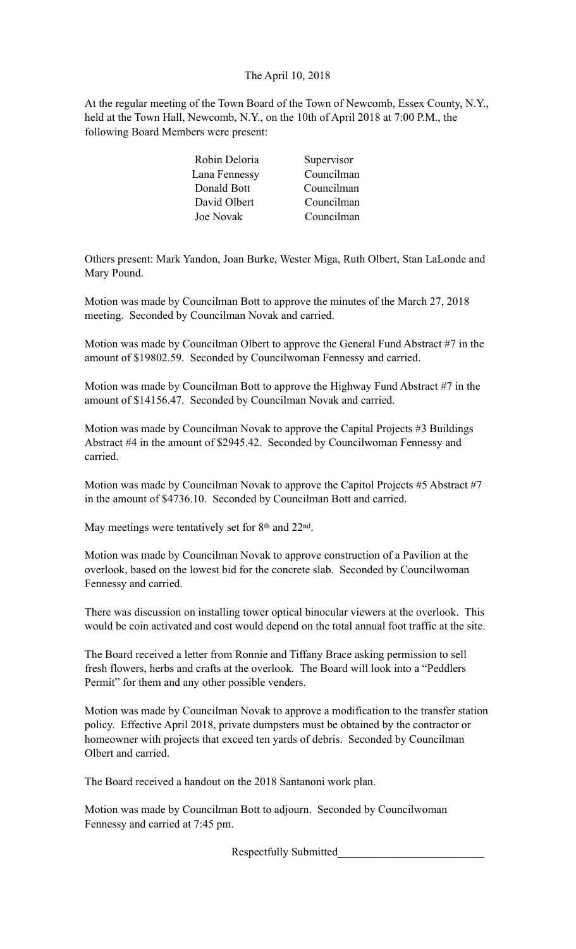The April 10, 2018

At the regular meeting of the Town Board of the Town of Newcomb, Essex County, N.Y., held at the Town Hall, Newcomb, N.Y., on the 10th of April 2018 at 7:00 P.M., the following Board Members were present:

| Robin Deloria | Supervisor |
|---------------|------------|
| Lana Fennessy | Councilman |
| Donald Bott   | Councilman |
| David Olbert  | Councilman |
| Joe Novak     | Councilman |

Others present: Mark Yandon, Joan Burke, Wester Miga, Ruth Olbert, Stan LaLonde and Mary Pound.

Motion was made by Councilman Bott to approve the minutes of the March 27, 2018 meeting. Seconded by Councilman Novak and carried.

Motion was made by Councilman Olbert to approve the General Fund Abstract #7 in the amount of \$19802.59. Seconded by Councilwoman Fennessy and carried.

Motion was made by Councilman Bott to approve the Highway Fund Abstract #7 in the amount of \$14156.47. Seconded by Councilman Novak and carried.

Motion was made by Councilman Novak to approve the Capital Projects #3 Buildings Abstract #4 in the amount of \$2945.42. Seconded by Councilwoman Fennessy and carried.

Motion was made by Councilman Novak to approve the Capitol Projects #5 Abstract #7 in the amount of \$4736.10. Seconded by Councilman Bott and carried.

May meetings were tentatively set for 8<sup>th</sup> and 22<sup>nd</sup>.

Motion was made by Councilman Novak to approve construction of a Pavilion at the overlook, based on the lowest bid for the concrete slab. Seconded by Councilwoman Fennessy and carried.

There was discussion on installing tower optical binocular viewers at the overlook. This would be coin activated and cost would depend on the total annual foot traffic at the site.

The Board received a letter from Ronnie and Tiffany Brace asking permission to sell fresh flowers, herbs and crafts at the overlook. The Board will look into a "Peddlers Permit" for them and any other possible venders.

Motion was made by Councilman Novak to approve a modification to the transfer station policy. Effective April 2018, private dumpsters must be obtained by the contractor or homeowner with projects that exceed ten yards of debris. Seconded by Councilman Olbert and carried.

The Board received a handout on the 2018 Santanoni work plan.

Motion was made by Councilman Bott to adjourn. Seconded by Councilwoman Fennessy and carried at 7:45 pm.

Respectfully Submitted\_\_\_\_\_\_\_\_\_\_\_\_\_\_\_\_\_\_\_\_\_\_\_\_\_\_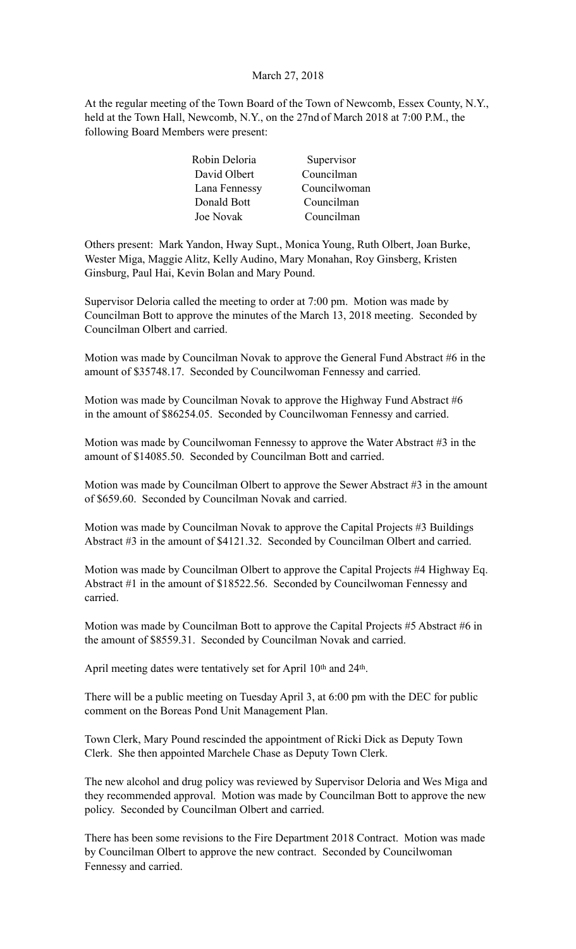### March 27, 2018

At the regular meeting of the Town Board of the Town of Newcomb, Essex County, N.Y., held at the Town Hall, Newcomb, N.Y., on the 27nd of March 2018 at 7:00 P.M., the following Board Members were present:

| Robin Deloria    | Supervisor   |
|------------------|--------------|
| David Olbert     | Councilman   |
| Lana Fennessy    | Councilwoman |
| Donald Bott      | Councilman   |
| <b>Joe Novak</b> | Councilman   |

Others present: Mark Yandon, Hway Supt., Monica Young, Ruth Olbert, Joan Burke, Wester Miga, Maggie Alitz, Kelly Audino, Mary Monahan, Roy Ginsberg, Kristen Ginsburg, Paul Hai, Kevin Bolan and Mary Pound.

Supervisor Deloria called the meeting to order at 7:00 pm. Motion was made by Councilman Bott to approve the minutes of the March 13, 2018 meeting. Seconded by Councilman Olbert and carried.

Motion was made by Councilman Novak to approve the General Fund Abstract #6 in the amount of \$35748.17. Seconded by Councilwoman Fennessy and carried.

Motion was made by Councilman Novak to approve the Highway Fund Abstract #6 in the amount of \$86254.05. Seconded by Councilwoman Fennessy and carried.

Motion was made by Councilwoman Fennessy to approve the Water Abstract #3 in the amount of \$14085.50. Seconded by Councilman Bott and carried.

Motion was made by Councilman Olbert to approve the Sewer Abstract #3 in the amount of \$659.60. Seconded by Councilman Novak and carried.

Motion was made by Councilman Novak to approve the Capital Projects #3 Buildings Abstract #3 in the amount of \$4121.32. Seconded by Councilman Olbert and carried.

Motion was made by Councilman Olbert to approve the Capital Projects #4 Highway Eq. Abstract #1 in the amount of \$18522.56. Seconded by Councilwoman Fennessy and carried.

Motion was made by Councilman Bott to approve the Capital Projects #5 Abstract #6 in the amount of \$8559.31. Seconded by Councilman Novak and carried.

April meeting dates were tentatively set for April 10th and 24th.

There will be a public meeting on Tuesday April 3, at 6:00 pm with the DEC for public comment on the Boreas Pond Unit Management Plan.

Town Clerk, Mary Pound rescinded the appointment of Ricki Dick as Deputy Town Clerk. She then appointed Marchele Chase as Deputy Town Clerk.

The new alcohol and drug policy was reviewed by Supervisor Deloria and Wes Miga and they recommended approval. Motion was made by Councilman Bott to approve the new policy. Seconded by Councilman Olbert and carried.

There has been some revisions to the Fire Department 2018 Contract. Motion was made by Councilman Olbert to approve the new contract. Seconded by Councilwoman Fennessy and carried.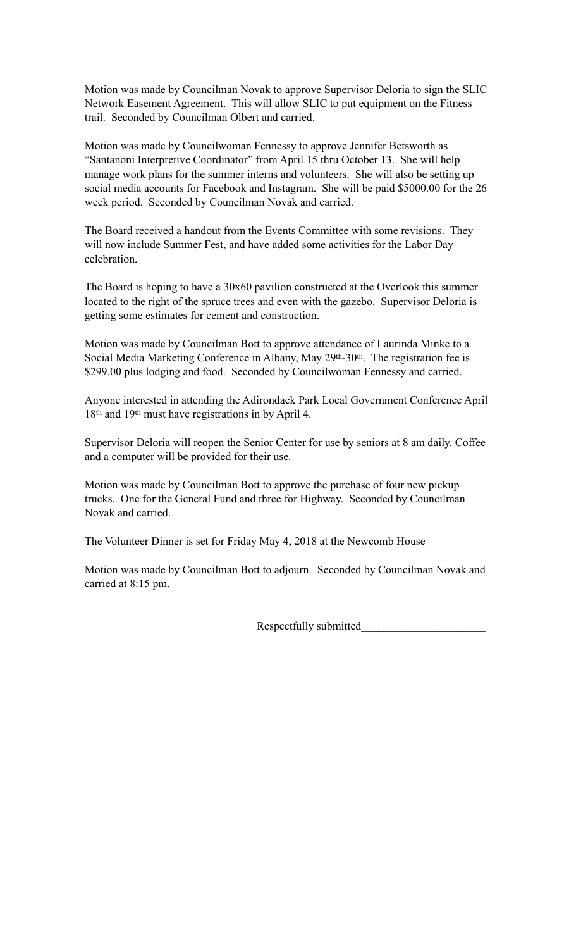Motion was made by Councilman Novak to approve Supervisor Deloria to sign the SLIC Network Easement Agreement. This will allow SLIC to put equipment on the Fitness trail. Seconded by Councilman Olbert and carried.

Motion was made by Councilwoman Fennessy to approve Jennifer Betsworth as "Santanoni Interpretive Coordinator" from April 15 thru October 13. She will help manage work plans for the summer interns and volunteers. She will also be setting up social media accounts for Facebook and Instagram. She will be paid \$5000.00 for the 26 week period. Seconded by Councilman Novak and carried.

The Board received a handout from the Events Committee with some revisions. They will now include Summer Fest, and have added some activities for the Labor Day celebration.

The Board is hoping to have a 30x60 pavilion constructed at the Overlook this summer located to the right of the spruce trees and even with the gazebo. Supervisor Deloria is getting some estimates for cement and construction.

Motion was made by Councilman Bott to approve attendance of Laurinda Minke to a Social Media Marketing Conference in Albany, May 29th-30th. The registration fee is \$299.00 plus lodging and food. Seconded by Councilwoman Fennessy and carried.

Anyone interested in attending the Adirondack Park Local Government Conference April 18th and 19th must have registrations in by April 4.

Supervisor Deloria will reopen the Senior Center for use by seniors at 8 am daily. Coffee and a computer will be provided for their use.

Motion was made by Councilman Bott to approve the purchase of four new pickup trucks. One for the General Fund and three for Highway. Seconded by Councilman Novak and carried.

The Volunteer Dinner is set for Friday May 4, 2018 at the Newcomb House

Motion was made by Councilman Bott to adjourn. Seconded by Councilman Novak and carried at 8:15 pm.

Respectfully submitted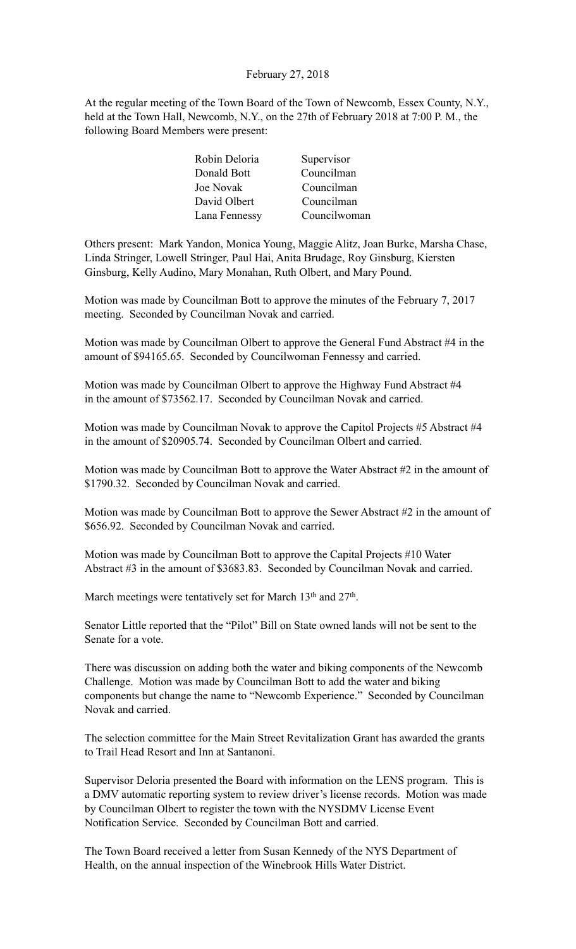# February 27, 2018

At the regular meeting of the Town Board of the Town of Newcomb, Essex County, N.Y., held at the Town Hall, Newcomb, N.Y., on the 27th of February 2018 at 7:00 P. M., the following Board Members were present:

| Robin Deloria | Supervisor   |
|---------------|--------------|
| Donald Bott   | Councilman   |
| Joe Novak     | Councilman   |
| David Olbert  | Councilman   |
| Lana Fennessy | Councilwoman |

Others present: Mark Yandon, Monica Young, Maggie Alitz, Joan Burke, Marsha Chase, Linda Stringer, Lowell Stringer, Paul Hai, Anita Brudage, Roy Ginsburg, Kiersten Ginsburg, Kelly Audino, Mary Monahan, Ruth Olbert, and Mary Pound.

Motion was made by Councilman Bott to approve the minutes of the February 7, 2017 meeting. Seconded by Councilman Novak and carried.

Motion was made by Councilman Olbert to approve the General Fund Abstract #4 in the amount of \$94165.65. Seconded by Councilwoman Fennessy and carried.

Motion was made by Councilman Olbert to approve the Highway Fund Abstract #4 in the amount of \$73562.17. Seconded by Councilman Novak and carried.

Motion was made by Councilman Novak to approve the Capitol Projects #5 Abstract #4 in the amount of \$20905.74. Seconded by Councilman Olbert and carried.

Motion was made by Councilman Bott to approve the Water Abstract #2 in the amount of \$1790.32. Seconded by Councilman Novak and carried.

Motion was made by Councilman Bott to approve the Sewer Abstract #2 in the amount of \$656.92. Seconded by Councilman Novak and carried.

Motion was made by Councilman Bott to approve the Capital Projects #10 Water Abstract #3 in the amount of \$3683.83. Seconded by Councilman Novak and carried.

March meetings were tentatively set for March 13<sup>th</sup> and 27<sup>th</sup>.

Senator Little reported that the "Pilot" Bill on State owned lands will not be sent to the Senate for a vote.

There was discussion on adding both the water and biking components of the Newcomb Challenge. Motion was made by Councilman Bott to add the water and biking components but change the name to "Newcomb Experience." Seconded by Councilman Novak and carried.

The selection committee for the Main Street Revitalization Grant has awarded the grants to Trail Head Resort and Inn at Santanoni.

Supervisor Deloria presented the Board with information on the LENS program. This is a DMV automatic reporting system to review driver's license records. Motion was made by Councilman Olbert to register the town with the NYSDMV License Event Notification Service. Seconded by Councilman Bott and carried.

The Town Board received a letter from Susan Kennedy of the NYS Department of Health, on the annual inspection of the Winebrook Hills Water District.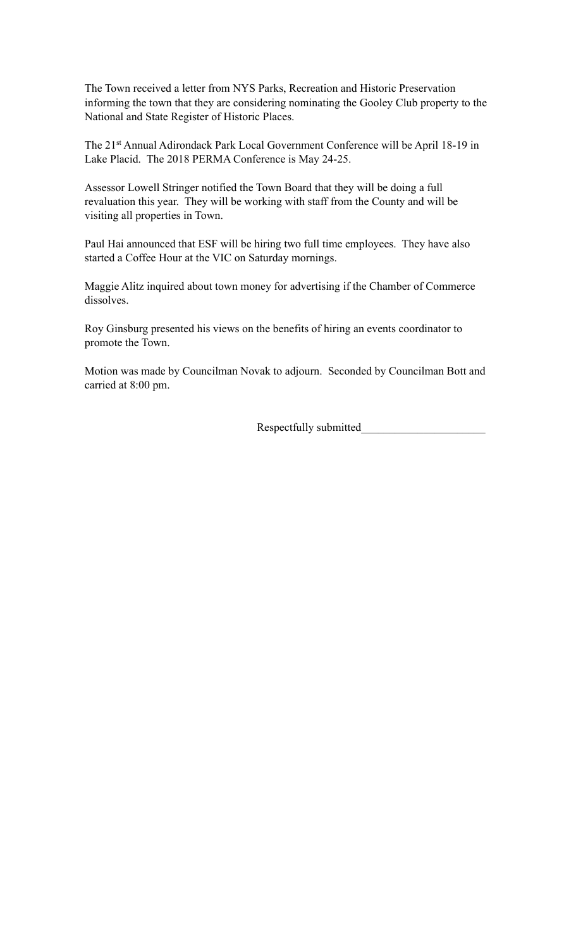The Town received a letter from NYS Parks, Recreation and Historic Preservation informing the town that they are considering nominating the Gooley Club property to the National and State Register of Historic Places.

The 21st Annual Adirondack Park Local Government Conference will be April 18-19 in Lake Placid. The 2018 PERMA Conference is May 24-25.

Assessor Lowell Stringer notified the Town Board that they will be doing a full revaluation this year. They will be working with staff from the County and will be visiting all properties in Town.

Paul Hai announced that ESF will be hiring two full time employees. They have also started a Coffee Hour at the VIC on Saturday mornings.

Maggie Alitz inquired about town money for advertising if the Chamber of Commerce dissolves.

Roy Ginsburg presented his views on the benefits of hiring an events coordinator to promote the Town.

Motion was made by Councilman Novak to adjourn. Seconded by Councilman Bott and carried at 8:00 pm.

Respectfully submitted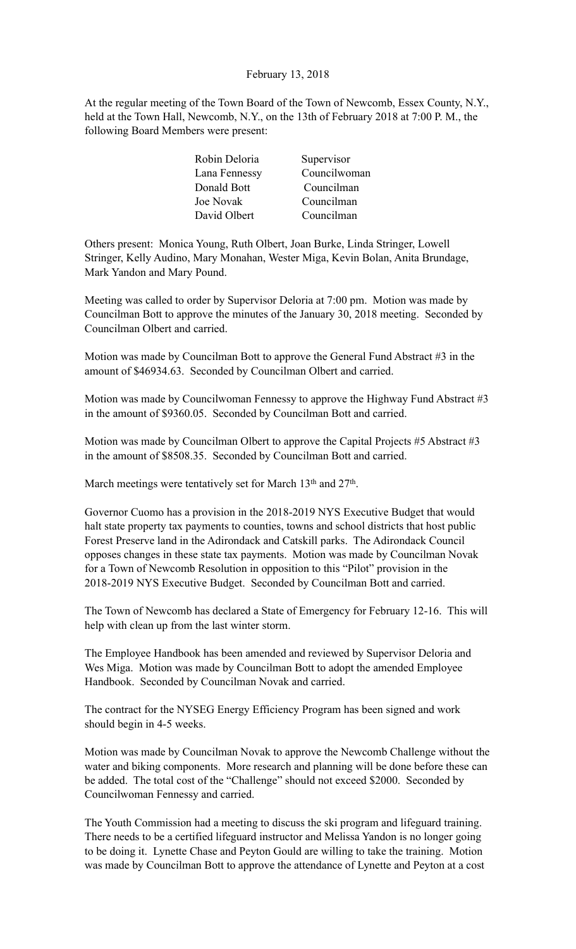# February 13, 2018

At the regular meeting of the Town Board of the Town of Newcomb, Essex County, N.Y., held at the Town Hall, Newcomb, N.Y., on the 13th of February 2018 at 7:00 P. M., the following Board Members were present:

| Supervisor   |
|--------------|
| Councilwoman |
| Councilman   |
| Councilman   |
| Councilman   |
|              |

Others present: Monica Young, Ruth Olbert, Joan Burke, Linda Stringer, Lowell Stringer, Kelly Audino, Mary Monahan, Wester Miga, Kevin Bolan, Anita Brundage, Mark Yandon and Mary Pound.

Meeting was called to order by Supervisor Deloria at 7:00 pm. Motion was made by Councilman Bott to approve the minutes of the January 30, 2018 meeting. Seconded by Councilman Olbert and carried.

Motion was made by Councilman Bott to approve the General Fund Abstract #3 in the amount of \$46934.63. Seconded by Councilman Olbert and carried.

Motion was made by Councilwoman Fennessy to approve the Highway Fund Abstract #3 in the amount of \$9360.05. Seconded by Councilman Bott and carried.

Motion was made by Councilman Olbert to approve the Capital Projects #5 Abstract #3 in the amount of \$8508.35. Seconded by Councilman Bott and carried.

March meetings were tentatively set for March 13<sup>th</sup> and 27<sup>th</sup>.

Governor Cuomo has a provision in the 2018-2019 NYS Executive Budget that would halt state property tax payments to counties, towns and school districts that host public Forest Preserve land in the Adirondack and Catskill parks. The Adirondack Council opposes changes in these state tax payments. Motion was made by Councilman Novak for a Town of Newcomb Resolution in opposition to this "Pilot" provision in the 2018-2019 NYS Executive Budget. Seconded by Councilman Bott and carried.

The Town of Newcomb has declared a State of Emergency for February 12-16. This will help with clean up from the last winter storm.

The Employee Handbook has been amended and reviewed by Supervisor Deloria and Wes Miga. Motion was made by Councilman Bott to adopt the amended Employee Handbook. Seconded by Councilman Novak and carried.

The contract for the NYSEG Energy Efficiency Program has been signed and work should begin in 4-5 weeks.

Motion was made by Councilman Novak to approve the Newcomb Challenge without the water and biking components. More research and planning will be done before these can be added. The total cost of the "Challenge" should not exceed \$2000. Seconded by Councilwoman Fennessy and carried.

The Youth Commission had a meeting to discuss the ski program and lifeguard training. There needs to be a certified lifeguard instructor and Melissa Yandon is no longer going to be doing it. Lynette Chase and Peyton Gould are willing to take the training. Motion was made by Councilman Bott to approve the attendance of Lynette and Peyton at a cost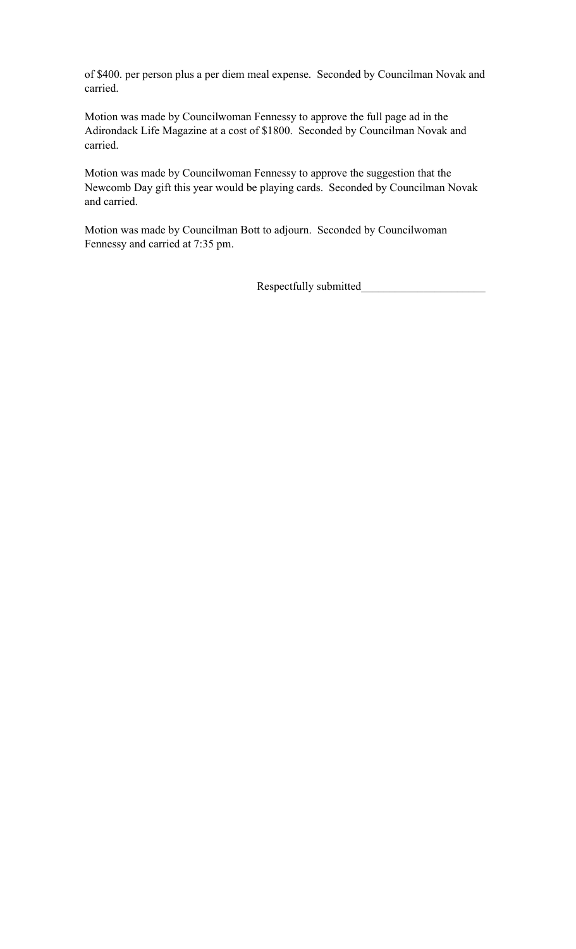of \$400. per person plus a per diem meal expense. Seconded by Councilman Novak and carried.

Motion was made by Councilwoman Fennessy to approve the full page ad in the Adirondack Life Magazine at a cost of \$1800. Seconded by Councilman Novak and carried.

Motion was made by Councilwoman Fennessy to approve the suggestion that the Newcomb Day gift this year would be playing cards. Seconded by Councilman Novak and carried.

Motion was made by Councilman Bott to adjourn. Seconded by Councilwoman Fennessy and carried at 7:35 pm.

Respectfully submitted\_\_\_\_\_\_\_\_\_\_\_\_\_\_\_\_\_\_\_\_\_\_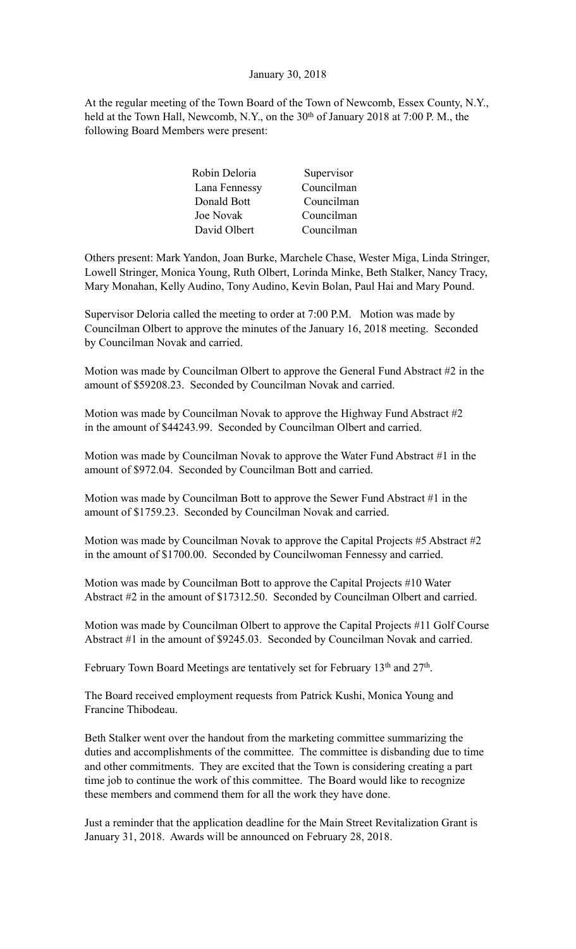# January 30, 2018

At the regular meeting of the Town Board of the Town of Newcomb, Essex County, N.Y., held at the Town Hall, Newcomb, N.Y., on the 30<sup>th</sup> of January 2018 at 7:00 P.M., the following Board Members were present:

| Robin Deloria | Supervisor |
|---------------|------------|
| Lana Fennessy | Councilman |
| Donald Bott   | Councilman |
| Joe Novak     | Councilman |
| David Olbert  | Councilman |

Others present: Mark Yandon, Joan Burke, Marchele Chase, Wester Miga, Linda Stringer, Lowell Stringer, Monica Young, Ruth Olbert, Lorinda Minke, Beth Stalker, Nancy Tracy, Mary Monahan, Kelly Audino, Tony Audino, Kevin Bolan, Paul Hai and Mary Pound.

Supervisor Deloria called the meeting to order at 7:00 P.M. Motion was made by Councilman Olbert to approve the minutes of the January 16, 2018 meeting. Seconded by Councilman Novak and carried.

Motion was made by Councilman Olbert to approve the General Fund Abstract #2 in the amount of \$59208.23. Seconded by Councilman Novak and carried.

Motion was made by Councilman Novak to approve the Highway Fund Abstract #2 in the amount of \$44243.99. Seconded by Councilman Olbert and carried.

Motion was made by Councilman Novak to approve the Water Fund Abstract #1 in the amount of \$972.04. Seconded by Councilman Bott and carried.

Motion was made by Councilman Bott to approve the Sewer Fund Abstract #1 in the amount of \$1759.23. Seconded by Councilman Novak and carried.

Motion was made by Councilman Novak to approve the Capital Projects #5 Abstract #2 in the amount of \$1700.00. Seconded by Councilwoman Fennessy and carried.

Motion was made by Councilman Bott to approve the Capital Projects #10 Water Abstract #2 in the amount of \$17312.50. Seconded by Councilman Olbert and carried.

Motion was made by Councilman Olbert to approve the Capital Projects #11 Golf Course Abstract #1 in the amount of \$9245.03. Seconded by Councilman Novak and carried.

February Town Board Meetings are tentatively set for February 13<sup>th</sup> and 27<sup>th</sup>.

The Board received employment requests from Patrick Kushi, Monica Young and Francine Thibodeau.

Beth Stalker went over the handout from the marketing committee summarizing the duties and accomplishments of the committee. The committee is disbanding due to time and other commitments. They are excited that the Town is considering creating a part time job to continue the work of this committee. The Board would like to recognize these members and commend them for all the work they have done.

Just a reminder that the application deadline for the Main Street Revitalization Grant is January 31, 2018. Awards will be announced on February 28, 2018.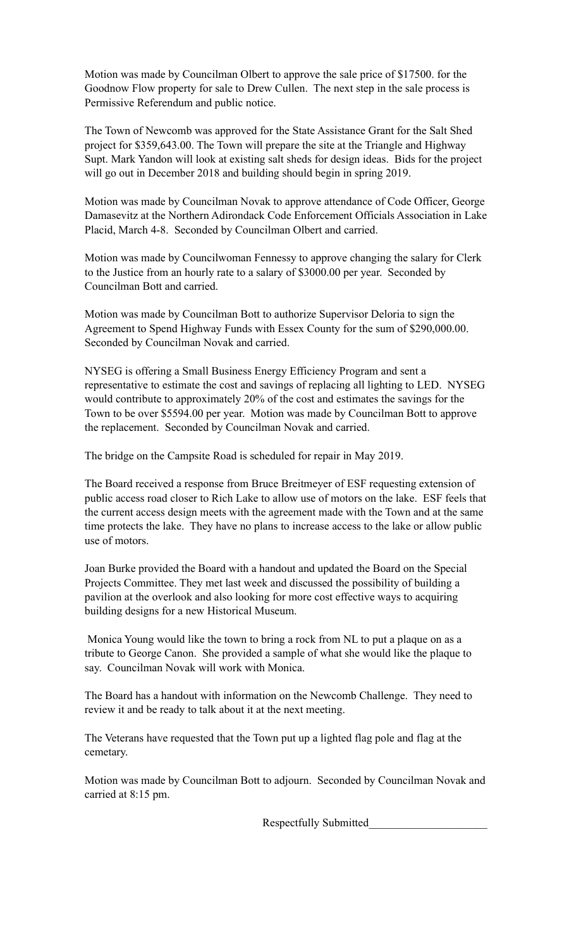Motion was made by Councilman Olbert to approve the sale price of \$17500. for the Goodnow Flow property for sale to Drew Cullen. The next step in the sale process is Permissive Referendum and public notice.

The Town of Newcomb was approved for the State Assistance Grant for the Salt Shed project for \$359,643.00. The Town will prepare the site at the Triangle and Highway Supt. Mark Yandon will look at existing salt sheds for design ideas. Bids for the project will go out in December 2018 and building should begin in spring 2019.

Motion was made by Councilman Novak to approve attendance of Code Officer, George Damasevitz at the Northern Adirondack Code Enforcement Officials Association in Lake Placid, March 4-8. Seconded by Councilman Olbert and carried.

Motion was made by Councilwoman Fennessy to approve changing the salary for Clerk to the Justice from an hourly rate to a salary of \$3000.00 per year. Seconded by Councilman Bott and carried.

Motion was made by Councilman Bott to authorize Supervisor Deloria to sign the Agreement to Spend Highway Funds with Essex County for the sum of \$290,000.00. Seconded by Councilman Novak and carried.

NYSEG is offering a Small Business Energy Efficiency Program and sent a representative to estimate the cost and savings of replacing all lighting to LED. NYSEG would contribute to approximately 20% of the cost and estimates the savings for the Town to be over \$5594.00 per year. Motion was made by Councilman Bott to approve the replacement. Seconded by Councilman Novak and carried.

The bridge on the Campsite Road is scheduled for repair in May 2019.

The Board received a response from Bruce Breitmeyer of ESF requesting extension of public access road closer to Rich Lake to allow use of motors on the lake. ESF feels that the current access design meets with the agreement made with the Town and at the same time protects the lake. They have no plans to increase access to the lake or allow public use of motors.

Joan Burke provided the Board with a handout and updated the Board on the Special Projects Committee. They met last week and discussed the possibility of building a pavilion at the overlook and also looking for more cost effective ways to acquiring building designs for a new Historical Museum.

 Monica Young would like the town to bring a rock from NL to put a plaque on as a tribute to George Canon. She provided a sample of what she would like the plaque to say. Councilman Novak will work with Monica.

The Board has a handout with information on the Newcomb Challenge. They need to review it and be ready to talk about it at the next meeting.

The Veterans have requested that the Town put up a lighted flag pole and flag at the cemetary.

Motion was made by Councilman Bott to adjourn. Seconded by Councilman Novak and carried at 8:15 pm.

Respectfully Submitted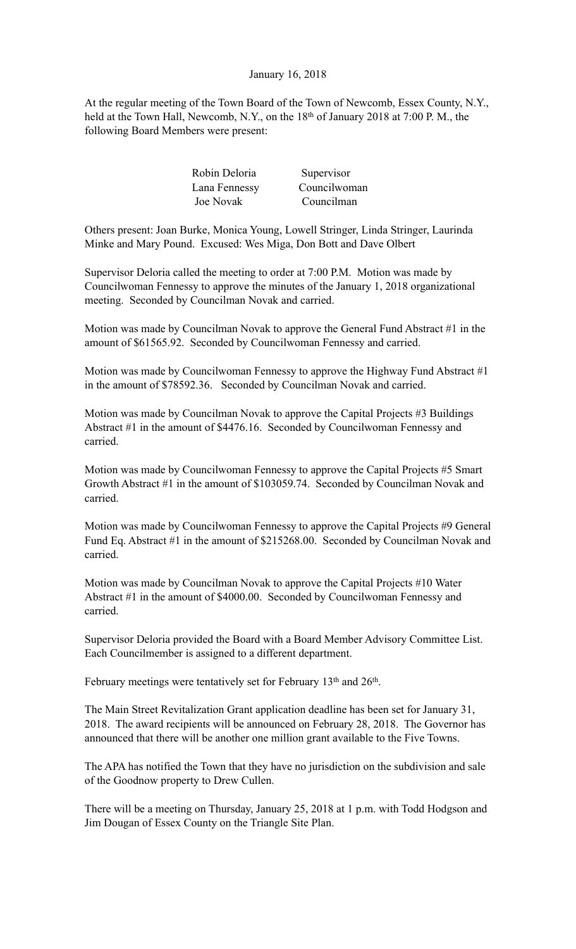# January 16, 2018

At the regular meeting of the Town Board of the Town of Newcomb, Essex County, N.Y., held at the Town Hall, Newcomb, N.Y., on the 18<sup>th</sup> of January 2018 at 7:00 P.M., the following Board Members were present:

| Robin Deloria    | Supervisor   |
|------------------|--------------|
| Lana Fennessy    | Councilwoman |
| <b>Joe Novak</b> | Councilman   |

Others present: Joan Burke, Monica Young, Lowell Stringer, Linda Stringer, Laurinda Minke and Mary Pound. Excused: Wes Miga, Don Bott and Dave Olbert

Supervisor Deloria called the meeting to order at 7:00 P.M. Motion was made by Councilwoman Fennessy to approve the minutes of the January 1, 2018 organizational meeting. Seconded by Councilman Novak and carried.

Motion was made by Councilman Novak to approve the General Fund Abstract #1 in the amount of \$61565.92. Seconded by Councilwoman Fennessy and carried.

Motion was made by Councilwoman Fennessy to approve the Highway Fund Abstract #1 in the amount of \$78592.36. Seconded by Councilman Novak and carried.

Motion was made by Councilman Novak to approve the Capital Projects #3 Buildings Abstract #1 in the amount of \$4476.16. Seconded by Councilwoman Fennessy and carried.

Motion was made by Councilwoman Fennessy to approve the Capital Projects #5 Smart Growth Abstract #1 in the amount of \$103059.74. Seconded by Councilman Novak and carried.

Motion was made by Councilwoman Fennessy to approve the Capital Projects #9 General Fund Eq. Abstract #1 in the amount of \$215268.00. Seconded by Councilman Novak and carried.

Motion was made by Councilman Novak to approve the Capital Projects #10 Water Abstract #1 in the amount of \$4000.00. Seconded by Councilwoman Fennessy and carried.

Supervisor Deloria provided the Board with a Board Member Advisory Committee List. Each Councilmember is assigned to a different department.

February meetings were tentatively set for February 13<sup>th</sup> and 26<sup>th</sup>.

The Main Street Revitalization Grant application deadline has been set for January 31, 2018. The award recipients will be announced on February 28, 2018. The Governor has announced that there will be another one million grant available to the Five Towns.

The APA has notified the Town that they have no jurisdiction on the subdivision and sale of the Goodnow property to Drew Cullen.

There will be a meeting on Thursday, January 25, 2018 at 1 p.m. with Todd Hodgson and Jim Dougan of Essex County on the Triangle Site Plan.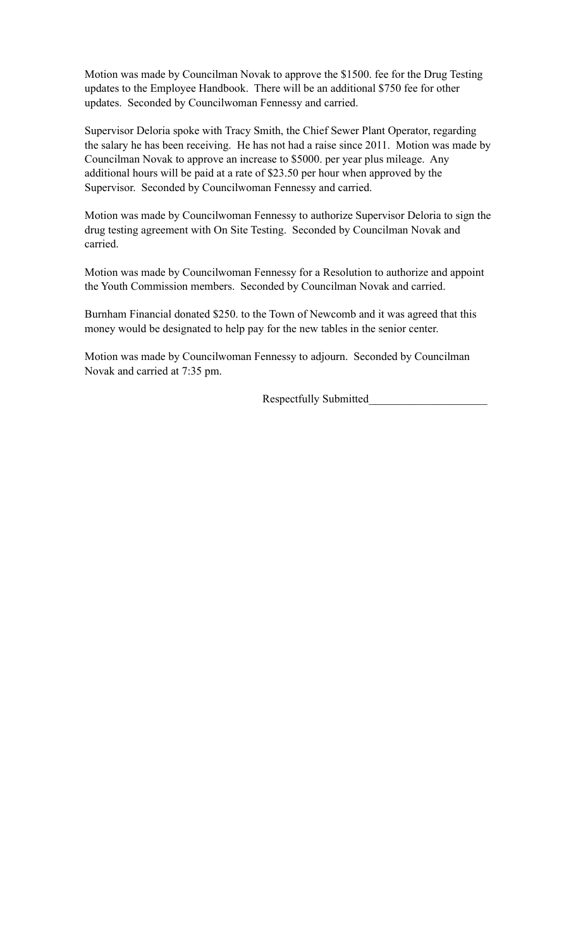Motion was made by Councilman Novak to approve the \$1500. fee for the Drug Testing updates to the Employee Handbook. There will be an additional \$750 fee for other updates. Seconded by Councilwoman Fennessy and carried.

Supervisor Deloria spoke with Tracy Smith, the Chief Sewer Plant Operator, regarding the salary he has been receiving. He has not had a raise since 2011. Motion was made by Councilman Novak to approve an increase to \$5000. per year plus mileage. Any additional hours will be paid at a rate of \$23.50 per hour when approved by the Supervisor. Seconded by Councilwoman Fennessy and carried.

Motion was made by Councilwoman Fennessy to authorize Supervisor Deloria to sign the drug testing agreement with On Site Testing. Seconded by Councilman Novak and carried.

Motion was made by Councilwoman Fennessy for a Resolution to authorize and appoint the Youth Commission members. Seconded by Councilman Novak and carried.

Burnham Financial donated \$250. to the Town of Newcomb and it was agreed that this money would be designated to help pay for the new tables in the senior center.

Motion was made by Councilwoman Fennessy to adjourn. Seconded by Councilman Novak and carried at 7:35 pm.

Respectfully Submitted\_\_\_\_\_\_\_\_\_\_\_\_\_\_\_\_\_\_\_\_\_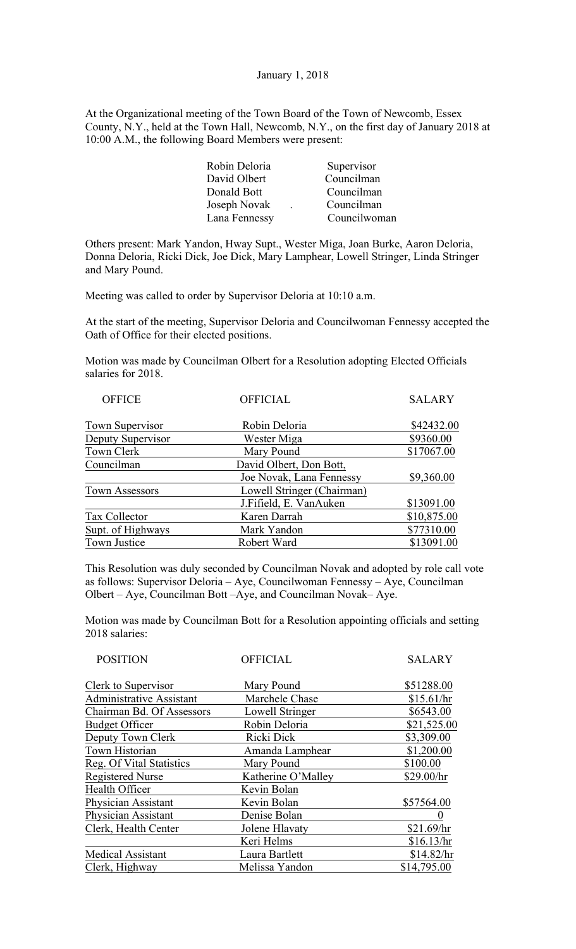January 1, 2018

At the Organizational meeting of the Town Board of the Town of Newcomb, Essex County, N.Y., held at the Town Hall, Newcomb, N.Y., on the first day of January 2018 at 10:00 A.M., the following Board Members were present:

| Robin Deloria | Supervisor   |
|---------------|--------------|
| David Olbert  | Councilman   |
| Donald Bott   | Councilman   |
| Joseph Novak  | Councilman   |
| Lana Fennessy | Councilwoman |

Others present: Mark Yandon, Hway Supt., Wester Miga, Joan Burke, Aaron Deloria, Donna Deloria, Ricki Dick, Joe Dick, Mary Lamphear, Lowell Stringer, Linda Stringer and Mary Pound.

Meeting was called to order by Supervisor Deloria at 10:10 a.m.

At the start of the meeting, Supervisor Deloria and Councilwoman Fennessy accepted the Oath of Office for their elected positions.

Motion was made by Councilman Olbert for a Resolution adopting Elected Officials salaries for 2018.

|                            | <b>SALARY</b>   |
|----------------------------|-----------------|
| Robin Deloria              | \$42432.00      |
| Wester Miga                | \$9360.00       |
| Mary Pound                 | \$17067.00      |
| David Olbert, Don Bott,    |                 |
| Joe Novak, Lana Fennessy   | \$9,360.00      |
| Lowell Stringer (Chairman) |                 |
| J.Fifield, E. VanAuken     | \$13091.00      |
| Karen Darrah               | \$10,875.00     |
| Mark Yandon                | \$77310.00      |
| Robert Ward                | \$13091.00      |
|                            | <b>OFFICIAL</b> |

This Resolution was duly seconded by Councilman Novak and adopted by role call vote as follows: Supervisor Deloria – Aye, Councilwoman Fennessy – Aye, Councilman Olbert – Aye, Councilman Bott –Aye, and Councilman Novak– Aye.

Motion was made by Councilman Bott for a Resolution appointing officials and setting 2018 salaries:

| <b>POSITION</b>                 | <b>OFFICIAL</b>    | <b>SALARY</b> |
|---------------------------------|--------------------|---------------|
| Clerk to Supervisor             | Mary Pound         | \$51288.00    |
| <b>Administrative Assistant</b> | Marchele Chase     | \$15.61/hr    |
| Chairman Bd. Of Assessors       | Lowell Stringer    | \$6543.00     |
| <b>Budget Officer</b>           | Robin Deloria      | \$21,525.00   |
| Deputy Town Clerk               | Ricki Dick         | \$3,309.00    |
| Town Historian                  | Amanda Lamphear    | \$1,200.00    |
| Reg. Of Vital Statistics        | Mary Pound         | \$100.00      |
| <b>Registered Nurse</b>         | Katherine O'Malley | \$29.00/hr    |
| Health Officer                  | Kevin Bolan        |               |
| Physician Assistant             | Kevin Bolan        | \$57564.00    |
| Physician Assistant             | Denise Bolan       |               |
| Clerk, Health Center            | Jolene Hlavaty     | \$21.69/hr    |
|                                 | Keri Helms         | \$16.13/hr    |
| <b>Medical Assistant</b>        | Laura Bartlett     | \$14.82/hr    |
| Clerk, Highway                  | Melissa Yandon     | \$14,795.00   |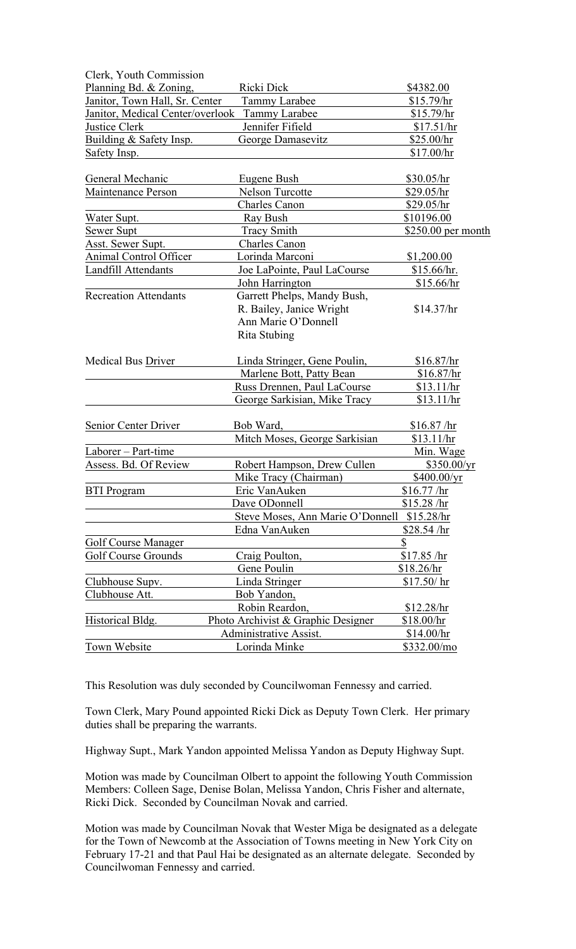| Clerk, Youth Commission          |                                    |                     |
|----------------------------------|------------------------------------|---------------------|
| Planning Bd. & Zoning,           | Ricki Dick                         | \$4382.00           |
| Janitor, Town Hall, Sr. Center   | <b>Tammy Larabee</b>               | \$15.79/hr          |
| Janitor, Medical Center/overlook | <b>Tammy Larabee</b>               | \$15.79/hr          |
| <b>Justice Clerk</b>             | Jennifer Fifield                   | \$17.51/hr          |
| Building & Safety Insp.          | George Damasevitz                  | \$25.00/hr          |
| Safety Insp.                     |                                    | \$17.00/hr          |
| General Mechanic                 | Eugene Bush                        | \$30.05/hr          |
| Maintenance Person               | <b>Nelson Turcotte</b>             | \$29.05/hr          |
|                                  | <b>Charles Canon</b>               | \$29.05/hr          |
| Water Supt.                      | Ray Bush                           | \$10196.00          |
| Sewer Supt                       | Tracy Smith                        | $$250.00$ per month |
| <b>Asst. Sewer Supt.</b>         | Charles Canon                      |                     |
| Animal Control Officer           | Lorinda Marconi                    | \$1,200.00          |
| Landfill Attendants              | Joe LaPointe, Paul LaCourse        | \$15.66/hr.         |
|                                  | John Harrington                    | \$15.66/hr          |
| <b>Recreation Attendants</b>     | Garrett Phelps, Mandy Bush,        |                     |
|                                  | R. Bailey, Janice Wright           | \$14.37/hr          |
|                                  | Ann Marie O'Donnell                |                     |
|                                  | Rita Stubing                       |                     |
| <b>Medical Bus Driver</b>        | Linda Stringer, Gene Poulin,       | \$16.87/hr          |
|                                  | Marlene Bott, Patty Bean           | \$16.87/hr          |
|                                  | Russ Drennen, Paul LaCourse        | \$13.11/hr          |
|                                  | George Sarkisian, Mike Tracy       | \$13.11/hr          |
| Senior Center Driver             | Bob Ward,                          | \$16.87 / hr        |
|                                  | Mitch Moses, George Sarkisian      | \$13.11/hr          |
| Laborer - Part-time              |                                    | Min. Wage           |
| Assess. Bd. Of Review            | Robert Hampson, Drew Cullen        | \$350.00/yr         |
|                                  | Mike Tracy (Chairman)              | \$400.00/yr         |
| <b>BTI Program</b>               | Eric VanAuken                      | \$16.77/hr          |
|                                  | Dave ODonnell                      | \$15.28 / hr        |
|                                  | Steve Moses, Ann Marie O'Donnell   | \$15.28/hr          |
|                                  | Edna VanAuken                      | \$28.54 / hr        |
| Golf Course Manager              |                                    | \$                  |
| <b>Golf Course Grounds</b>       | Craig Poulton,                     | \$17.85 /hr         |
|                                  | Gene Poulin                        | \$18.26/hr          |
| Clubhouse Supv.                  | Linda Stringer                     | \$17.50/hr          |
| Clubhouse Att.                   | Bob Yandon,                        |                     |
|                                  | Robin Reardon,                     | \$12.28/hr          |
| Historical Bldg.                 | Photo Archivist & Graphic Designer | \$18.00/hr          |
|                                  | Administrative Assist.             | \$14.00/hr          |
| Town Website                     | Lorinda Minke                      | \$332.00/mo         |

This Resolution was duly seconded by Councilwoman Fennessy and carried.

Town Clerk, Mary Pound appointed Ricki Dick as Deputy Town Clerk. Her primary duties shall be preparing the warrants.

Highway Supt., Mark Yandon appointed Melissa Yandon as Deputy Highway Supt.

Motion was made by Councilman Olbert to appoint the following Youth Commission Members: Colleen Sage, Denise Bolan, Melissa Yandon, Chris Fisher and alternate, Ricki Dick. Seconded by Councilman Novak and carried.

Motion was made by Councilman Novak that Wester Miga be designated as a delegate for the Town of Newcomb at the Association of Towns meeting in New York City on February 17-21 and that Paul Hai be designated as an alternate delegate. Seconded by Councilwoman Fennessy and carried.